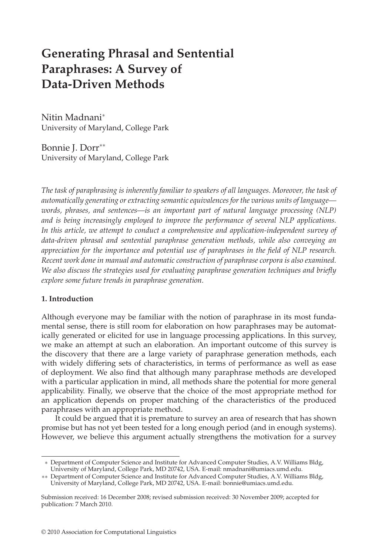# **Generating Phrasal and Sentential Paraphrases: A Survey of Data-Driven Methods**

Nitin Madnani<sup>∗</sup> University of Maryland, College Park

Bonnie J. Dorr∗∗ University of Maryland, College Park

*The task of paraphrasing is inherently familiar to speakers of all languages. Moreover, the task of automatically generating or extracting semantic equivalences for the various units of language words, phrases, and sentences—is an important part of natural language processing (NLP) and is being increasingly employed to improve the performance of several NLP applications. In this article, we attempt to conduct a comprehensive and application-independent survey of data-driven phrasal and sentential paraphrase generation methods, while also conveying an appreciation for the importance and potential use of paraphrases in the field of NLP research. Recent work done in manual and automatic construction of paraphrase corpora is also examined. We also discuss the strategies used for evaluating paraphrase generation techniques and briefly explore some future trends in paraphrase generation.*

### **1. Introduction**

Although everyone may be familiar with the notion of paraphrase in its most fundamental sense, there is still room for elaboration on how paraphrases may be automatically generated or elicited for use in language processing applications. In this survey, we make an attempt at such an elaboration. An important outcome of this survey is the discovery that there are a large variety of paraphrase generation methods, each with widely differing sets of characteristics, in terms of performance as well as ease of deployment. We also find that although many paraphrase methods are developed with a particular application in mind, all methods share the potential for more general applicability. Finally, we observe that the choice of the most appropriate method for an application depends on proper matching of the characteristics of the produced paraphrases with an appropriate method.

It could be argued that it is premature to survey an area of research that has shown promise but has not yet been tested for a long enough period (and in enough systems). However, we believe this argument actually strengthens the motivation for a survey

<sup>∗</sup> Department of Computer Science and Institute for Advanced Computer Studies, A.V. Williams Bldg, University of Maryland, College Park, MD 20742, USA. E-mail: nmadnani@umiacs.umd.edu.

<sup>∗∗</sup> Department of Computer Science and Institute for Advanced Computer Studies, A.V. Williams Bldg, University of Maryland, College Park, MD 20742, USA. E-mail: bonnie@umiacs.umd.edu.

Submission received: 16 December 2008; revised submission received: 30 November 2009; accepted for publication: 7 March 2010.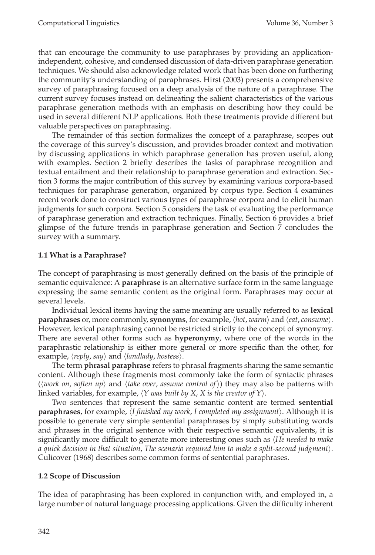that can encourage the community to use paraphrases by providing an applicationindependent, cohesive, and condensed discussion of data-driven paraphrase generation techniques. We should also acknowledge related work that has been done on furthering the community's understanding of paraphrases. Hirst (2003) presents a comprehensive survey of paraphrasing focused on a deep analysis of the nature of a paraphrase. The current survey focuses instead on delineating the salient characteristics of the various paraphrase generation methods with an emphasis on describing how they could be used in several different NLP applications. Both these treatments provide different but valuable perspectives on paraphrasing.

The remainder of this section formalizes the concept of a paraphrase, scopes out the coverage of this survey's discussion, and provides broader context and motivation by discussing applications in which paraphrase generation has proven useful, along with examples. Section 2 briefly describes the tasks of paraphrase recognition and textual entailment and their relationship to paraphrase generation and extraction. Section 3 forms the major contribution of this survey by examining various corpora-based techniques for paraphrase generation, organized by corpus type. Section 4 examines recent work done to construct various types of paraphrase corpora and to elicit human judgments for such corpora. Section 5 considers the task of evaluating the performance of paraphrase generation and extraction techniques. Finally, Section 6 provides a brief glimpse of the future trends in paraphrase generation and Section 7 concludes the survey with a summary.

# **1.1 What is a Paraphrase?**

The concept of paraphrasing is most generally defined on the basis of the principle of semantic equivalence: A **paraphrase** is an alternative surface form in the same language expressing the same semantic content as the original form. Paraphrases may occur at several levels.

Individual lexical items having the same meaning are usually referred to as **lexical paraphrases** or, more commonly, **synonyms**, for example,  $\langle hot, warm \rangle$  and  $\langle eat, consume \rangle$ . However, lexical paraphrasing cannot be restricted strictly to the concept of synonymy. There are several other forms such as **hyperonymy**, where one of the words in the paraphrastic relationship is either more general or more specific than the other, for example, *reply*, *say* and *landlady*, *hostess*.

The term **phrasal paraphrase** refers to phrasal fragments sharing the same semantic content. Although these fragments most commonly take the form of syntactic phrases (*work on*, *soften up* and *take over*, *assume control of*) they may also be patterns with linked variables, for example, *Y was built by X*, *X is the creator of Y*.

Two sentences that represent the same semantic content are termed **sentential paraphrases**, for example, *I finished my work*, *I completed my assignment*. Although it is possible to generate very simple sentential paraphrases by simply substituting words and phrases in the original sentence with their respective semantic equivalents, it is significantly more difficult to generate more interesting ones such as *He needed to make a quick decision in that situation*, *The scenario required him to make a split-second judgment*. Culicover (1968) describes some common forms of sentential paraphrases.

# **1.2 Scope of Discussion**

The idea of paraphrasing has been explored in conjunction with, and employed in, a large number of natural language processing applications. Given the difficulty inherent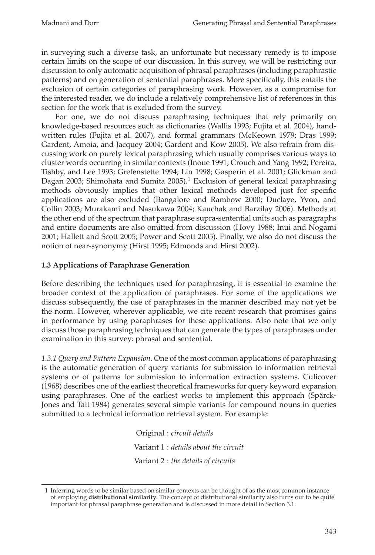in surveying such a diverse task, an unfortunate but necessary remedy is to impose certain limits on the scope of our discussion. In this survey, we will be restricting our discussion to only automatic acquisition of phrasal paraphrases (including paraphrastic patterns) and on generation of sentential paraphrases. More specifically, this entails the exclusion of certain categories of paraphrasing work. However, as a compromise for the interested reader, we do include a relatively comprehensive list of references in this section for the work that is excluded from the survey.

For one, we do not discuss paraphrasing techniques that rely primarily on knowledge-based resources such as dictionaries (Wallis 1993; Fujita et al. 2004), handwritten rules (Fujita et al. 2007), and formal grammars (McKeown 1979; Dras 1999; Gardent, Amoia, and Jacquey 2004; Gardent and Kow 2005). We also refrain from discussing work on purely lexical paraphrasing which usually comprises various ways to cluster words occurring in similar contexts (Inoue 1991; Crouch and Yang 1992; Pereira, Tishby, and Lee 1993; Grefenstette 1994; Lin 1998; Gasperin et al. 2001; Glickman and Dagan 2003; Shimohata and Sumita 2005).<sup>1</sup> Exclusion of general lexical paraphrasing methods obviously implies that other lexical methods developed just for specific applications are also excluded (Bangalore and Rambow 2000; Duclaye, Yvon, and Collin 2003; Murakami and Nasukawa 2004; Kauchak and Barzilay 2006). Methods at the other end of the spectrum that paraphrase supra-sentential units such as paragraphs and entire documents are also omitted from discussion (Hovy 1988; Inui and Nogami 2001; Hallett and Scott 2005; Power and Scott 2005). Finally, we also do not discuss the notion of near-synonymy (Hirst 1995; Edmonds and Hirst 2002).

# **1.3 Applications of Paraphrase Generation**

Before describing the techniques used for paraphrasing, it is essential to examine the broader context of the application of paraphrases. For some of the applications we discuss subsequently, the use of paraphrases in the manner described may not yet be the norm. However, wherever applicable, we cite recent research that promises gains in performance by using paraphrases for these applications. Also note that we only discuss those paraphrasing techniques that can generate the types of paraphrases under examination in this survey: phrasal and sentential.

*1.3.1 Query and Pattern Expansion.* One of the most common applications of paraphrasing is the automatic generation of query variants for submission to information retrieval systems or of patterns for submission to information extraction systems. Culicover (1968) describes one of the earliest theoretical frameworks for query keyword expansion using paraphrases. One of the earliest works to implement this approach (Spärck-Jones and Tait 1984) generates several simple variants for compound nouns in queries submitted to a technical information retrieval system. For example:

> Original : *circuit details* Variant 1 : *details about the circuit* Variant 2 : *the details of circuits*

<sup>1</sup> Inferring words to be similar based on similar contexts can be thought of as the most common instance of employing **distributional similarity**. The concept of distributional similarity also turns out to be quite important for phrasal paraphrase generation and is discussed in more detail in Section 3.1.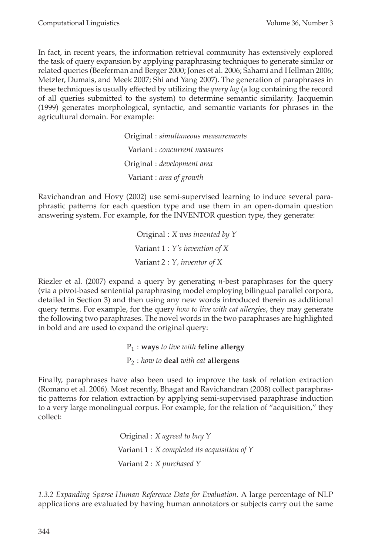In fact, in recent years, the information retrieval community has extensively explored the task of query expansion by applying paraphrasing techniques to generate similar or related queries (Beeferman and Berger 2000; Jones et al. 2006; Sahami and Hellman 2006; Metzler, Dumais, and Meek 2007; Shi and Yang 2007). The generation of paraphrases in these techniques is usually effected by utilizing the *query log* (a log containing the record of all queries submitted to the system) to determine semantic similarity. Jacquemin (1999) generates morphological, syntactic, and semantic variants for phrases in the agricultural domain. For example:

> Original : *simultaneous measurements* Variant : *concurrent measures* Original : *development area* Variant : *area of growth*

Ravichandran and Hovy (2002) use semi-supervised learning to induce several paraphrastic patterns for each question type and use them in an open-domain question answering system. For example, for the INVENTOR question type, they generate:

> Original : *X was invented by Y* Variant 1 : *Y's invention of X* Variant 2 : *Y, inventor of X*

Riezler et al. (2007) expand a query by generating *n*-best paraphrases for the query (via a pivot-based sentential paraphrasing model employing bilingual parallel corpora, detailed in Section 3) and then using any new words introduced therein as additional query terms. For example, for the query *how to live with cat allergies*, they may generate the following two paraphrases. The novel words in the two paraphrases are highlighted in bold and are used to expand the original query:

> P1 : **ways** *to live with* **feline allergy** P2 : *how to* **deal** *with cat* **allergens**

Finally, paraphrases have also been used to improve the task of relation extraction (Romano et al. 2006). Most recently, Bhagat and Ravichandran (2008) collect paraphrastic patterns for relation extraction by applying semi-supervised paraphrase induction to a very large monolingual corpus. For example, for the relation of "acquisition," they collect:

> Original : *X agreed to buy Y* Variant 1 : *X completed its acquisition of Y* Variant 2 : *X purchased Y*

*1.3.2 Expanding Sparse Human Reference Data for Evaluation.* A large percentage of NLP applications are evaluated by having human annotators or subjects carry out the same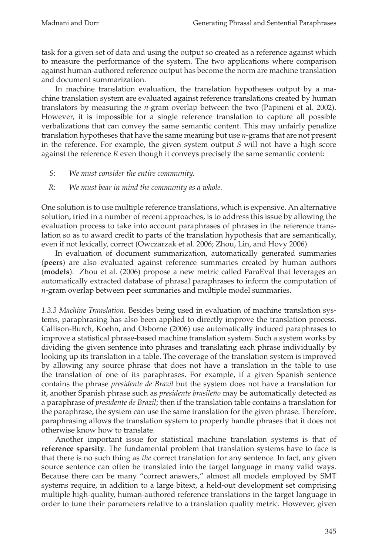task for a given set of data and using the output so created as a reference against which to measure the performance of the system. The two applications where comparison against human-authored reference output has become the norm are machine translation and document summarization.

In machine translation evaluation, the translation hypotheses output by a machine translation system are evaluated against reference translations created by human translators by measuring the *n*-gram overlap between the two (Papineni et al. 2002). However, it is impossible for a single reference translation to capture all possible verbalizations that can convey the same semantic content. This may unfairly penalize translation hypotheses that have the same meaning but use *n*-grams that are not present in the reference. For example, the given system output *S* will not have a high score against the reference *R* even though it conveys precisely the same semantic content:

- *S*: *We must consider the entire community.*
- *R*: *We must bear in mind the community as a whole.*

One solution is to use multiple reference translations, which is expensive. An alternative solution, tried in a number of recent approaches, is to address this issue by allowing the evaluation process to take into account paraphrases of phrases in the reference translation so as to award credit to parts of the translation hypothesis that are semantically, even if not lexically, correct (Owczarzak et al. 2006; Zhou, Lin, and Hovy 2006).

In evaluation of document summarization, automatically generated summaries (**peers**) are also evaluated against reference summaries created by human authors (**models**). Zhou et al. (2006) propose a new metric called ParaEval that leverages an automatically extracted database of phrasal paraphrases to inform the computation of *n*-gram overlap between peer summaries and multiple model summaries.

*1.3.3 Machine Translation.* Besides being used in evaluation of machine translation systems, paraphrasing has also been applied to directly improve the translation process. Callison-Burch, Koehn, and Osborne (2006) use automatically induced paraphrases to improve a statistical phrase-based machine translation system. Such a system works by dividing the given sentence into phrases and translating each phrase individually by looking up its translation in a table. The coverage of the translation system is improved by allowing any source phrase that does not have a translation in the table to use the translation of one of its paraphrases. For example, if a given Spanish sentence contains the phrase *presidente de Brazil* but the system does not have a translation for it, another Spanish phrase such as *presidente brasile˜no* may be automatically detected as a paraphrase of *presidente de Brazil*; then if the translation table contains a translation for the paraphrase, the system can use the same translation for the given phrase. Therefore, paraphrasing allows the translation system to properly handle phrases that it does not otherwise know how to translate.

Another important issue for statistical machine translation systems is that of **reference sparsity**. The fundamental problem that translation systems have to face is that there is no such thing as *the* correct translation for any sentence. In fact, any given source sentence can often be translated into the target language in many valid ways. Because there can be many "correct answers," almost all models employed by SMT systems require, in addition to a large bitext, a held-out development set comprising multiple high-quality, human-authored reference translations in the target language in order to tune their parameters relative to a translation quality metric. However, given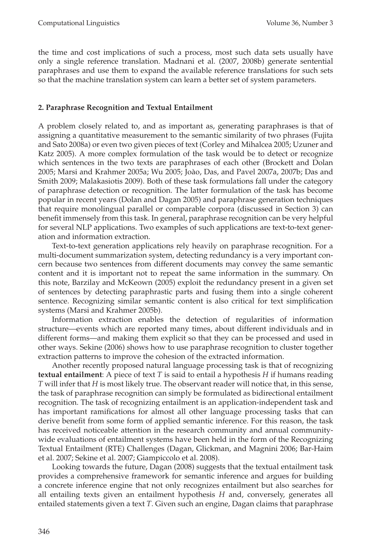the time and cost implications of such a process, most such data sets usually have only a single reference translation. Madnani et al. (2007, 2008b) generate sentential paraphrases and use them to expand the available reference translations for such sets so that the machine translation system can learn a better set of system parameters.

## **2. Paraphrase Recognition and Textual Entailment**

A problem closely related to, and as important as, generating paraphrases is that of assigning a quantitative measurement to the semantic similarity of two phrases (Fujita and Sato 2008a) or even two given pieces of text (Corley and Mihalcea 2005; Uzuner and Katz 2005). A more complex formulation of the task would be to detect or recognize which sentences in the two texts are paraphrases of each other (Brockett and Dolan 2005; Marsi and Krahmer 2005a; Wu 2005; Joao, Das, and Pavel 2007a, 2007b; Das and ` Smith 2009; Malakasiotis 2009). Both of these task formulations fall under the category of paraphrase detection or recognition. The latter formulation of the task has become popular in recent years (Dolan and Dagan 2005) and paraphrase generation techniques that require monolingual parallel or comparable corpora (discussed in Section 3) can benefit immensely from this task. In general, paraphrase recognition can be very helpful for several NLP applications. Two examples of such applications are text-to-text generation and information extraction.

Text-to-text generation applications rely heavily on paraphrase recognition. For a multi-document summarization system, detecting redundancy is a very important concern because two sentences from different documents may convey the same semantic content and it is important not to repeat the same information in the summary. On this note, Barzilay and McKeown (2005) exploit the redundancy present in a given set of sentences by detecting paraphrastic parts and fusing them into a single coherent sentence. Recognizing similar semantic content is also critical for text simplification systems (Marsi and Krahmer 2005b).

Information extraction enables the detection of regularities of information structure—events which are reported many times, about different individuals and in different forms—and making them explicit so that they can be processed and used in other ways. Sekine (2006) shows how to use paraphrase recognition to cluster together extraction patterns to improve the cohesion of the extracted information.

Another recently proposed natural language processing task is that of recognizing **textual entailment**: A piece of text *T* is said to entail a hypothesis *H* if humans reading *T* will infer that *H* is most likely true. The observant reader will notice that, in this sense, the task of paraphrase recognition can simply be formulated as bidirectional entailment recognition. The task of recognizing entailment is an application-independent task and has important ramifications for almost all other language processing tasks that can derive benefit from some form of applied semantic inference. For this reason, the task has received noticeable attention in the research community and annual communitywide evaluations of entailment systems have been held in the form of the Recognizing Textual Entailment (RTE) Challenges (Dagan, Glickman, and Magnini 2006; Bar-Haim et al. 2007; Sekine et al. 2007; Giampiccolo et al. 2008).

Looking towards the future, Dagan (2008) suggests that the textual entailment task provides a comprehensive framework for semantic inference and argues for building a concrete inference engine that not only recognizes entailment but also searches for all entailing texts given an entailment hypothesis *H* and, conversely, generates all entailed statements given a text *T*. Given such an engine, Dagan claims that paraphrase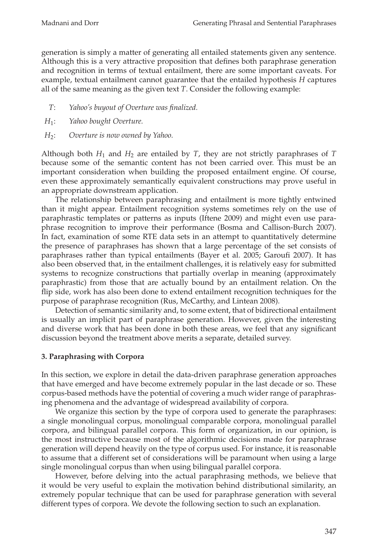generation is simply a matter of generating all entailed statements given any sentence. Although this is a very attractive proposition that defines both paraphrase generation and recognition in terms of textual entailment, there are some important caveats. For example, textual entailment cannot guarantee that the entailed hypothesis *H* captures all of the same meaning as the given text *T*. Consider the following example:

- *T*: *Yahoo's buyout of Overture was finalized.*
- *H*1: *Yahoo bought Overture.*
- *H*2: *Overture is now owned by Yahoo.*

Although both  $H_1$  and  $H_2$  are entailed by *T*, they are not strictly paraphrases of *T* because some of the semantic content has not been carried over. This must be an important consideration when building the proposed entailment engine. Of course, even these approximately semantically equivalent constructions may prove useful in an appropriate downstream application.

The relationship between paraphrasing and entailment is more tightly entwined than it might appear. Entailment recognition systems sometimes rely on the use of paraphrastic templates or patterns as inputs (Iftene 2009) and might even use paraphrase recognition to improve their performance (Bosma and Callison-Burch 2007). In fact, examination of some RTE data sets in an attempt to quantitatively determine the presence of paraphrases has shown that a large percentage of the set consists of paraphrases rather than typical entailments (Bayer et al. 2005; Garoufi 2007). It has also been observed that, in the entailment challenges, it is relatively easy for submitted systems to recognize constructions that partially overlap in meaning (approximately paraphrastic) from those that are actually bound by an entailment relation. On the flip side, work has also been done to extend entailment recognition techniques for the purpose of paraphrase recognition (Rus, McCarthy, and Lintean 2008).

Detection of semantic similarity and, to some extent, that of bidirectional entailment is usually an implicit part of paraphrase generation. However, given the interesting and diverse work that has been done in both these areas, we feel that any significant discussion beyond the treatment above merits a separate, detailed survey.

# **3. Paraphrasing with Corpora**

In this section, we explore in detail the data-driven paraphrase generation approaches that have emerged and have become extremely popular in the last decade or so. These corpus-based methods have the potential of covering a much wider range of paraphrasing phenomena and the advantage of widespread availability of corpora.

We organize this section by the type of corpora used to generate the paraphrases: a single monolingual corpus, monolingual comparable corpora, monolingual parallel corpora, and bilingual parallel corpora. This form of organization, in our opinion, is the most instructive because most of the algorithmic decisions made for paraphrase generation will depend heavily on the type of corpus used. For instance, it is reasonable to assume that a different set of considerations will be paramount when using a large single monolingual corpus than when using bilingual parallel corpora.

However, before delving into the actual paraphrasing methods, we believe that it would be very useful to explain the motivation behind distributional similarity, an extremely popular technique that can be used for paraphrase generation with several different types of corpora. We devote the following section to such an explanation.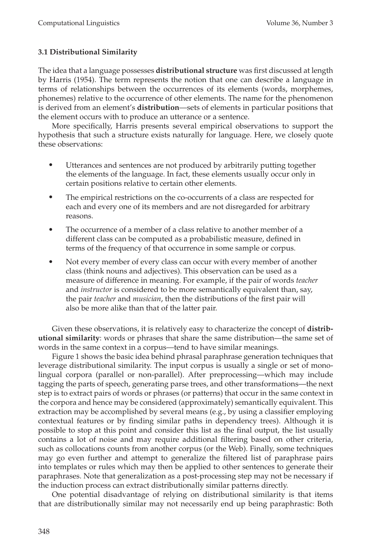# **3.1 Distributional Similarity**

The idea that a language possesses **distributional structure** was first discussed at length by Harris (1954). The term represents the notion that one can describe a language in terms of relationships between the occurrences of its elements (words, morphemes, phonemes) relative to the occurrence of other elements. The name for the phenomenon is derived from an element's **distribution**—sets of elements in particular positions that the element occurs with to produce an utterance or a sentence.

More specifically, Harris presents several empirical observations to support the hypothesis that such a structure exists naturally for language. Here, we closely quote these observations:

- - Utterances and sentences are not produced by arbitrarily putting together the elements of the language. In fact, these elements usually occur only in certain positions relative to certain other elements.
- - The empirical restrictions on the co-occurrents of a class are respected for each and every one of its members and are not disregarded for arbitrary reasons.
- - The occurrence of a member of a class relative to another member of a different class can be computed as a probabilistic measure, defined in terms of the frequency of that occurrence in some sample or corpus.
- - Not every member of every class can occur with every member of another class (think nouns and adjectives). This observation can be used as a measure of difference in meaning. For example, if the pair of words *teacher* and *instructor* is considered to be more semantically equivalent than, say, the pair *teacher* and *musician*, then the distributions of the first pair will also be more alike than that of the latter pair.

Given these observations, it is relatively easy to characterize the concept of **distributional similarity**: words or phrases that share the same distribution—the same set of words in the same context in a corpus—tend to have similar meanings.

Figure 1 shows the basic idea behind phrasal paraphrase generation techniques that leverage distributional similarity. The input corpus is usually a single or set of monolingual corpora (parallel or non-parallel). After preprocessing—which may include tagging the parts of speech, generating parse trees, and other transformations—the next step is to extract pairs of words or phrases (or patterns) that occur in the same context in the corpora and hence may be considered (approximately) semantically equivalent. This extraction may be accomplished by several means (e.g., by using a classifier employing contextual features or by finding similar paths in dependency trees). Although it is possible to stop at this point and consider this list as the final output, the list usually contains a lot of noise and may require additional filtering based on other criteria, such as collocations counts from another corpus (or the Web). Finally, some techniques may go even further and attempt to generalize the filtered list of paraphrase pairs into templates or rules which may then be applied to other sentences to generate their paraphrases. Note that generalization as a post-processing step may not be necessary if the induction process can extract distributionally similar patterns directly.

One potential disadvantage of relying on distributional similarity is that items that are distributionally similar may not necessarily end up being paraphrastic: Both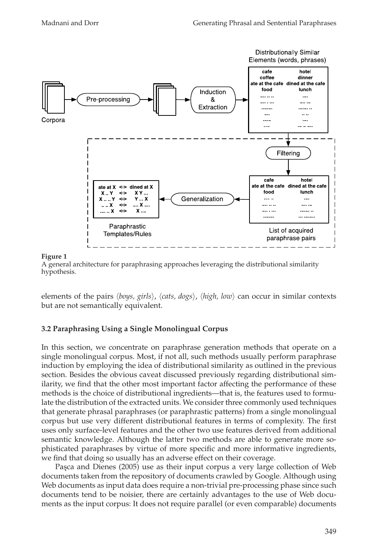

#### **Figure 1**

A general architecture for paraphrasing approaches leveraging the distributional similarity hypothesis.

elements of the pairs *boys, girls*, *cats, dogs*, *high, low* can occur in similar contexts but are not semantically equivalent.

# **3.2 Paraphrasing Using a Single Monolingual Corpus**

In this section, we concentrate on paraphrase generation methods that operate on a single monolingual corpus. Most, if not all, such methods usually perform paraphrase induction by employing the idea of distributional similarity as outlined in the previous section. Besides the obvious caveat discussed previously regarding distributional similarity, we find that the other most important factor affecting the performance of these methods is the choice of distributional ingredients—that is, the features used to formulate the distribution of the extracted units. We consider three commonly used techniques that generate phrasal paraphrases (or paraphrastic patterns) from a single monolingual corpus but use very different distributional features in terms of complexity. The first uses only surface-level features and the other two use features derived from additional semantic knowledge. Although the latter two methods are able to generate more sophisticated paraphrases by virtue of more specific and more informative ingredients, we find that doing so usually has an adverse effect on their coverage.

Pasca and Dienes (2005) use as their input corpus a very large collection of Web documents taken from the repository of documents crawled by Google. Although using Web documents as input data does require a non-trivial pre-processing phase since such documents tend to be noisier, there are certainly advantages to the use of Web documents as the input corpus: It does not require parallel (or even comparable) documents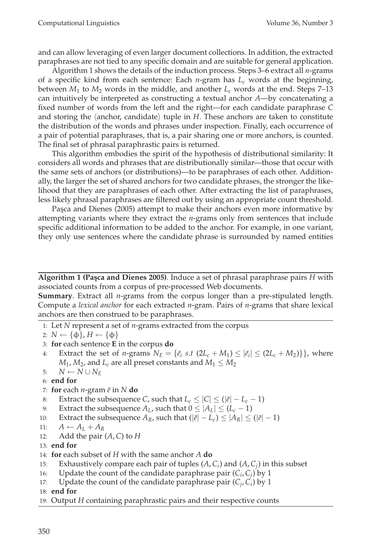and can allow leveraging of even larger document collections. In addition, the extracted paraphrases are not tied to any specific domain and are suitable for general application.

Algorithm 1 shows the details of the induction process. Steps 3–6 extract all *n*-grams of a specific kind from each sentence: Each  $n$ -gram has  $L_c$  words at the beginning, between  $M_1$  to  $M_2$  words in the middle, and another  $L_c$  words at the end. Steps 7–13 can intuitively be interpreted as constructing a textual anchor *A*—by concatenating a fixed number of words from the left and the right—for each candidate paraphrase *C* and storing the  $\langle$  anchor, candidate $\rangle$  tuple in *H*. These anchors are taken to constitute the distribution of the words and phrases under inspection. Finally, each occurrence of a pair of potential paraphrases, that is, a pair sharing one or more anchors, is counted. The final set of phrasal paraphrastic pairs is returned.

This algorithm embodies the spirit of the hypothesis of distributional similarity: It considers all words and phrases that are distributionally similar—those that occur with the same sets of anchors (or distributions)—to be paraphrases of each other. Additionally, the larger the set of shared anchors for two candidate phrases, the stronger the likelihood that they are paraphrases of each other. After extracting the list of paraphrases, less likely phrasal paraphrases are filtered out by using an appropriate count threshold.

Pasca and Dienes (2005) attempt to make their anchors even more informative by attempting variants where they extract the *n*-grams only from sentences that include specific additional information to be added to the anchor. For example, in one variant, they only use sentences where the candidate phrase is surrounded by named entities

**Algorithm 1 (Pa¸sca and Dienes 2005)**. Induce a set of phrasal paraphrase pairs *H* with associated counts from a corpus of pre-processed Web documents.

**Summary**. Extract all *n*-grams from the corpus longer than a pre-stipulated length. Compute a *lexical anchor* for each extracted *n*-gram. Pairs of *n*-grams that share lexical anchors are then construed to be paraphrases.

- 1: Let *N* represent a set of *n*-grams extracted from the corpus
- 2:  $N \leftarrow {\phi}, H \leftarrow {\phi}$
- 3: **for** each sentence **E** in the corpus **do**
- 4: Extract the set of *n*-grams  $N_E = \{\bar{e}_i \ s.t \ (2L_c + M_1) \leq |\bar{e}_i| \leq (2L_c + M_2)\}\}$ , where  $M_1$ ,  $M_2$ , and  $L_c$  are all preset constants and  $M_1 \leq M_2$
- 5:  $N \leftarrow N \cup N_E$
- 6: **end for**
- 7: **for** each *n*-gram  $\bar{e}$  in  $N$  **do**
- 8: Extract the subsequence *C*, such that  $L_c \leq |C| \leq (|\bar{e}| L_c 1)$
- 9: Extract the subsequence  $A_L$ , such that  $0 \leq |A_L| \leq (L_c 1)$
- 10: Extract the subsequence  $A_R$ , such that  $(|\bar{e}|-L_c) \leq |A_R| \leq (|\bar{e}|-1)$
- 11:  $A \leftarrow A_L + A_R$
- 12: Add the pair (*A*,*C*) to *H*
- 13: **end for**
- 14: **for** each subset of *H* with the same anchor *A* **do**
- 15: Exhaustively compare each pair of tuples  $(A, C_i)$  and  $(A, C_i)$  in this subset
- 16: Update the count of the candidate paraphrase pair  $(C_i, C_j)$  by 1
- 17: Update the count of the candidate paraphrase pair  $(C_i, C_i)$  by 1
- 18: **end for**
- 19: Output *H* containing paraphrastic pairs and their respective counts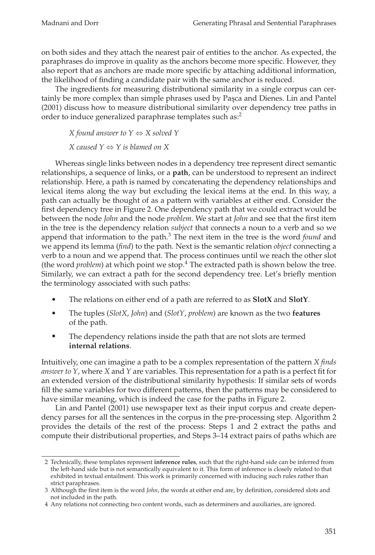on both sides and they attach the nearest pair of entities to the anchor. As expected, the paraphrases do improve in quality as the anchors become more specific. However, they also report that as anchors are made more specific by attaching additional information, the likelihood of finding a candidate pair with the same anchor is reduced.

The ingredients for measuring distributional similarity in a single corpus can certainly be more complex than simple phrases used by Pasca and Dienes. Lin and Pantel (2001) discuss how to measure distributional similarity over dependency tree paths in order to induce generalized paraphrase templates such as:<sup>2</sup>

*X found answer to Y* ⇔ *X solved Y*

*X caused Y* ⇔ *Y is blamed on X*

Whereas single links between nodes in a dependency tree represent direct semantic relationships, a sequence of links, or a **path**, can be understood to represent an indirect relationship. Here, a path is named by concatenating the dependency relationships and lexical items along the way but excluding the lexical items at the end. In this way, a path can actually be thought of as a pattern with variables at either end. Consider the first dependency tree in Figure 2. One dependency path that we could extract would be between the node *John* and the node *problem*. We start at *John* and see that the first item in the tree is the dependency relation *subject* that connects a noun to a verb and so we append that information to the path.<sup>3</sup> The next item in the tree is the word *found* and we append its lemma (*find*) to the path. Next is the semantic relation *object* connecting a verb to a noun and we append that. The process continues until we reach the other slot (the word *problem*) at which point we stop.<sup>4</sup> The extracted path is shown below the tree. Similarly, we can extract a path for the second dependency tree. Let's briefly mention the terminology associated with such paths:

- -The relations on either end of a path are referred to as **SlotX** and **SlotY**.
- $\bullet$  The tuples (*SlotX*, *John*) and (*SlotY*, *problem*) are known as the two **features** of the path.
- $\bullet$  The dependency relations inside the path that are not slots are termed **internal relations**.

Intuitively, one can imagine a path to be a complex representation of the pattern *X finds answer to Y*, where *X* and *Y* are variables. This representation for a path is a perfect fit for an extended version of the distributional similarity hypothesis: If similar sets of words fill the same variables for two different patterns, then the patterns may be considered to have similar meaning, which is indeed the case for the paths in Figure 2.

Lin and Pantel (2001) use newspaper text as their input corpus and create dependency parses for all the sentences in the corpus in the pre-processing step. Algorithm 2 provides the details of the rest of the process: Steps 1 and 2 extract the paths and compute their distributional properties, and Steps 3–14 extract pairs of paths which are

<sup>2</sup> Technically, these templates represent **inference rules**, such that the right-hand side can be inferred from the left-hand side but is not semantically equivalent to it. This form of inference is closely related to that exhibited in textual entailment. This work is primarily concerned with inducing such rules rather than strict paraphrases.

<sup>3</sup> Although the first item is the word *John*, the words at either end are, by definition, considered slots and not included in the path.

<sup>4</sup> Any relations not connecting two content words, such as determiners and auxiliaries, are ignored.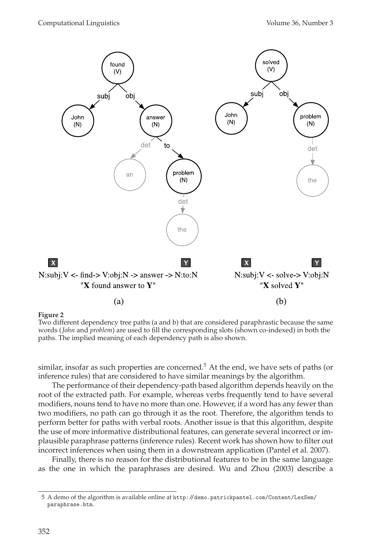

#### **Figure 2**

Two different dependency tree paths (a and b) that are considered paraphrastic because the same words (*John* and *problem*) are used to fill the corresponding slots (shown co-indexed) in both the paths. The implied meaning of each dependency path is also shown.

similar, insofar as such properties are concerned.<sup>5</sup> At the end, we have sets of paths (or inference rules) that are considered to have similar meanings by the algorithm.

The performance of their dependency-path based algorithm depends heavily on the root of the extracted path. For example, whereas verbs frequently tend to have several modifiers, nouns tend to have no more than one. However, if a word has any fewer than two modifiers, no path can go through it as the root. Therefore, the algorithm tends to perform better for paths with verbal roots. Another issue is that this algorithm, despite the use of more informative distributional features, can generate several incorrect or implausible paraphrase patterns (inference rules). Recent work has shown how to filter out incorrect inferences when using them in a downstream application (Pantel et al. 2007).

Finally, there is no reason for the distributional features to be in the same language as the one in which the paraphrases are desired. Wu and Zhou (2003) describe a

<sup>5</sup> A demo of the algorithm is available online at http://demo.patrickpantel.com/Content/LexSem/ paraphrase.htm.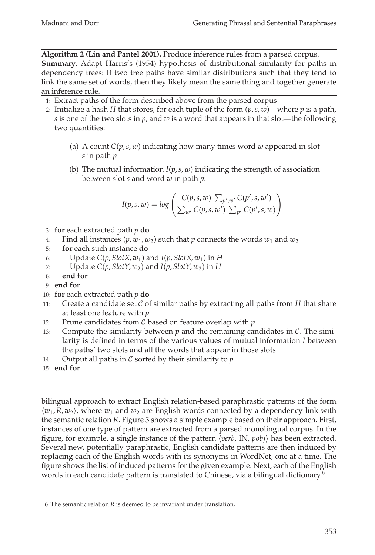**Algorithm 2 (Lin and Pantel 2001).** Produce inference rules from a parsed corpus.

**Summary**. Adapt Harris's (1954) hypothesis of distributional similarity for paths in dependency trees: If two tree paths have similar distributions such that they tend to link the same set of words, then they likely mean the same thing and together generate an inference rule.

- 1: Extract paths of the form described above from the parsed corpus
- 2: Initialize a hash *H* that stores, for each tuple of the form  $(p, s, w)$ —where *p* is a path, *s* is one of the two slots in *p*, and *w* is a word that appears in that slot—the following two quantities:
	- (a) A count *C*(*p*,*s*, *w*) indicating how many times word *w* appeared in slot *s* in path *p*
	- (b) The mutual information *I*(*p*,*s*, *w*) indicating the strength of association between slot *s* and word *w* in path *p*:

$$
I(p,s,w) = log\left(\frac{C(p,s,w) \sum_{p',w'} C(p',s,w')}{\sum_{w'} C(p,s,w') \sum_{p'} C(p',s,w)}\right)
$$

- 3: **for** each extracted path *p* **do**
- 4: Find all instances  $(p, w_1, w_2)$  such that *p* connects the words  $w_1$  and  $w_2$
- 5: **for** each such instance **do**
- 6: Update  $C(p, SlotX, w_1)$  and  $I(p, SlotX, w_1)$  in  $H$ <br>7: Update  $C(p, SlotY, w_2)$  and  $I(p, SlotY, w_2)$  in  $H$
- Update  $C(p, SlotY, w_2)$  and  $I(p, SlotY, w_2)$  in *H*
- 8: **end for**
- 9: **end for**
- 10: **for** each extracted path *p* **do**
- 11: Create a candidate set  $C$  of similar paths by extracting all paths from  $H$  that share at least one feature with *p*
- 12: Prune candidates from C based on feature overlap with *p*
- 13: Compute the similarity between  $p$  and the remaining candidates in  $\mathcal{C}$ . The similarity is defined in terms of the various values of mutual information *I* between the paths' two slots and all the words that appear in those slots
- 14: Output all paths in  $\mathcal C$  sorted by their similarity to  $p$
- 15: **end for**

bilingual approach to extract English relation-based paraphrastic patterns of the form  $\langle w_1, R, w_2 \rangle$ , where  $w_1$  and  $w_2$  are English words connected by a dependency link with the semantic relation *R*. Figure 3 shows a simple example based on their approach. First, instances of one type of pattern are extracted from a parsed monolingual corpus. In the figure, for example, a single instance of the pattern *verb*, IN, *pobj* has been extracted. Several new, potentially paraphrastic, English candidate patterns are then induced by replacing each of the English words with its synonyms in WordNet, one at a time. The figure shows the list of induced patterns for the given example. Next, each of the English words in each candidate pattern is translated to Chinese, via a bilingual dictionary.<sup>6</sup>

<sup>6</sup> The semantic relation *R* is deemed to be invariant under translation.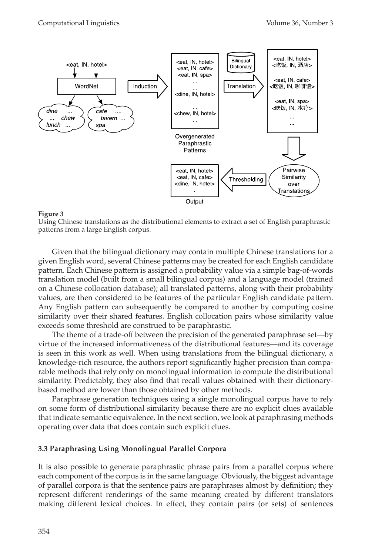

#### **Figure 3**

Using Chinese translations as the distributional elements to extract a set of English paraphrastic patterns from a large English corpus.

Given that the bilingual dictionary may contain multiple Chinese translations for a given English word, several Chinese patterns may be created for each English candidate pattern. Each Chinese pattern is assigned a probability value via a simple bag-of-words translation model (built from a small bilingual corpus) and a language model (trained on a Chinese collocation database); all translated patterns, along with their probability values, are then considered to be features of the particular English candidate pattern. Any English pattern can subsequently be compared to another by computing cosine similarity over their shared features. English collocation pairs whose similarity value exceeds some threshold are construed to be paraphrastic.

The theme of a trade-off between the precision of the generated paraphrase set—by virtue of the increased informativeness of the distributional features—and its coverage is seen in this work as well. When using translations from the bilingual dictionary, a knowledge-rich resource, the authors report significantly higher precision than comparable methods that rely only on monolingual information to compute the distributional similarity. Predictably, they also find that recall values obtained with their dictionarybased method are lower than those obtained by other methods.

Paraphrase generation techniques using a single monolingual corpus have to rely on some form of distributional similarity because there are no explicit clues available that indicate semantic equivalence. In the next section, we look at paraphrasing methods operating over data that does contain such explicit clues.

### **3.3 Paraphrasing Using Monolingual Parallel Corpora**

It is also possible to generate paraphrastic phrase pairs from a parallel corpus where each component of the corpus is in the same language. Obviously, the biggest advantage of parallel corpora is that the sentence pairs are paraphrases almost by definition; they represent different renderings of the same meaning created by different translators making different lexical choices. In effect, they contain pairs (or sets) of sentences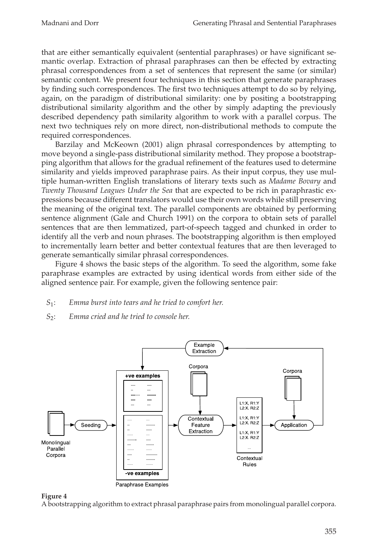that are either semantically equivalent (sentential paraphrases) or have significant semantic overlap. Extraction of phrasal paraphrases can then be effected by extracting phrasal correspondences from a set of sentences that represent the same (or similar) semantic content. We present four techniques in this section that generate paraphrases by finding such correspondences. The first two techniques attempt to do so by relying, again, on the paradigm of distributional similarity: one by positing a bootstrapping distributional similarity algorithm and the other by simply adapting the previously described dependency path similarity algorithm to work with a parallel corpus. The next two techniques rely on more direct, non-distributional methods to compute the required correspondences.

Barzilay and McKeown (2001) align phrasal correspondences by attempting to move beyond a single-pass distributional similarity method. They propose a bootstrapping algorithm that allows for the gradual refinement of the features used to determine similarity and yields improved paraphrase pairs. As their input corpus, they use multiple human-written English translations of literary texts such as *Madame Bovary* and *Twenty Thousand Leagues Under the Sea* that are expected to be rich in paraphrastic expressions because different translators would use their own words while still preserving the meaning of the original text. The parallel components are obtained by performing sentence alignment (Gale and Church 1991) on the corpora to obtain sets of parallel sentences that are then lemmatized, part-of-speech tagged and chunked in order to identify all the verb and noun phrases. The bootstrapping algorithm is then employed to incrementally learn better and better contextual features that are then leveraged to generate semantically similar phrasal correspondences.

Figure 4 shows the basic steps of the algorithm. To seed the algorithm, some fake paraphrase examples are extracted by using identical words from either side of the aligned sentence pair. For example, given the following sentence pair:

- *S*1: *Emma burst into tears and he tried to comfort her.*
- *S*2: *Emma cried and he tried to console her.*



#### **Figure 4**

A bootstrapping algorithm to extract phrasal paraphrase pairs from monolingual parallel corpora.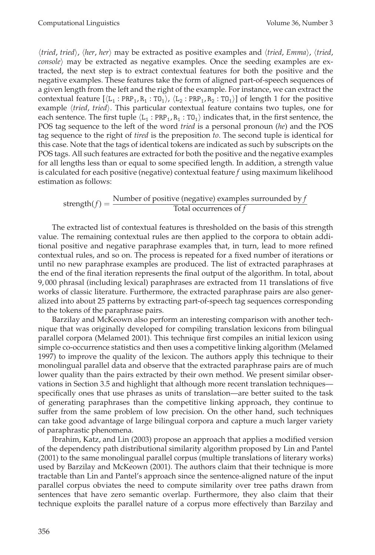$\langle tried, tried \rangle$ ,  $\langle her, her \rangle$  may be extracted as positive examples and  $\langle tried, Emma \rangle$ ,  $\langle tried,$ *console*) may be extracted as negative examples. Once the seeding examples are extracted, the next step is to extract contextual features for both the positive and the negative examples. These features take the form of aligned part-of-speech sequences of a given length from the left and the right of the example. For instance, we can extract the contextual feature  $[\langle L_1 : PRP_1, R_1 : TO_1 \rangle, \langle L_2 : PRP_1, R_2 : TO_1 \rangle]$  of length 1 for the positive example *tried*, *tried*. This particular contextual feature contains two tuples, one for each sentence. The first tuple  $\langle L_1 : PRP_1, R_1 : TO_1 \rangle$  indicates that, in the first sentence, the POS tag sequence to the left of the word *tried* is a personal pronoun (*he*) and the POS tag sequence to the right of *tired* is the preposition *to*. The second tuple is identical for this case. Note that the tags of identical tokens are indicated as such by subscripts on the POS tags. All such features are extracted for both the positive and the negative examples for all lengths less than or equal to some specified length. In addition, a strength value is calculated for each positive (negative) contextual feature *f* using maximum likelihood estimation as follows:

strength(
$$
f
$$
) =  $\frac{\text{Number of positive (negative) examples surrounded by } f}{\text{Total occurrences of } f}$ 

The extracted list of contextual features is thresholded on the basis of this strength value. The remaining contextual rules are then applied to the corpora to obtain additional positive and negative paraphrase examples that, in turn, lead to more refined contextual rules, and so on. The process is repeated for a fixed number of iterations or until no new paraphrase examples are produced. The list of extracted paraphrases at the end of the final iteration represents the final output of the algorithm. In total, about 9, 000 phrasal (including lexical) paraphrases are extracted from 11 translations of five works of classic literature. Furthermore, the extracted paraphrase pairs are also generalized into about 25 patterns by extracting part-of-speech tag sequences corresponding to the tokens of the paraphrase pairs.

Barzilay and McKeown also perform an interesting comparison with another technique that was originally developed for compiling translation lexicons from bilingual parallel corpora (Melamed 2001). This technique first compiles an initial lexicon using simple co-occurrence statistics and then uses a competitive linking algorithm (Melamed 1997) to improve the quality of the lexicon. The authors apply this technique to their monolingual parallel data and observe that the extracted paraphrase pairs are of much lower quality than the pairs extracted by their own method. We present similar observations in Section 3.5 and highlight that although more recent translation techniques specifically ones that use phrases as units of translation—are better suited to the task of generating paraphrases than the competitive linking approach, they continue to suffer from the same problem of low precision. On the other hand, such techniques can take good advantage of large bilingual corpora and capture a much larger variety of paraphrastic phenomena.

Ibrahim, Katz, and Lin (2003) propose an approach that applies a modified version of the dependency path distributional similarity algorithm proposed by Lin and Pantel (2001) to the same monolingual parallel corpus (multiple translations of literary works) used by Barzilay and McKeown (2001). The authors claim that their technique is more tractable than Lin and Pantel's approach since the sentence-aligned nature of the input parallel corpus obviates the need to compute similarity over tree paths drawn from sentences that have zero semantic overlap. Furthermore, they also claim that their technique exploits the parallel nature of a corpus more effectively than Barzilay and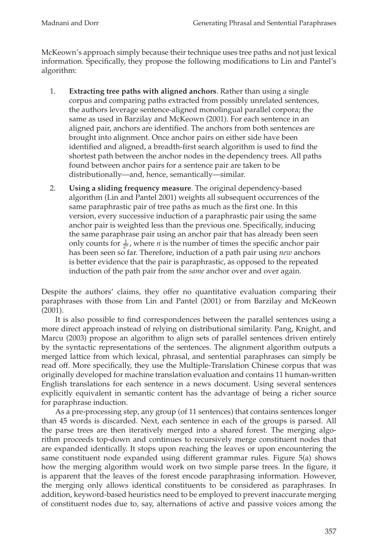McKeown's approach simply because their technique uses tree paths and not just lexical information. Specifically, they propose the following modifications to Lin and Pantel's algorithm:

- 1. **Extracting tree paths with aligned anchors**. Rather than using a single corpus and comparing paths extracted from possibly unrelated sentences, the authors leverage sentence-aligned monolingual parallel corpora; the same as used in Barzilay and McKeown (2001). For each sentence in an aligned pair, anchors are identified. The anchors from both sentences are brought into alignment. Once anchor pairs on either side have been identified and aligned, a breadth-first search algorithm is used to find the shortest path between the anchor nodes in the dependency trees. All paths found between anchor pairs for a sentence pair are taken to be distributionally—and, hence, semantically—similar.
- 2. **Using a sliding frequency measure**. The original dependency-based algorithm (Lin and Pantel 2001) weights all subsequent occurrences of the same paraphrastic pair of tree paths as much as the first one. In this version, every successive induction of a paraphrastic pair using the same anchor pair is weighted less than the previous one. Specifically, inducing the same paraphrase pair using an anchor pair that has already been seen only counts for  $\frac{1}{2^n}$ , where *n* is the number of times the specific anchor pair has been seen so far. Therefore, induction of a path pair using *new* anchors is better evidence that the pair is paraphrastic, as opposed to the repeated induction of the path pair from the *same* anchor over and over again.

Despite the authors' claims, they offer no quantitative evaluation comparing their paraphrases with those from Lin and Pantel (2001) or from Barzilay and McKeown (2001).

It is also possible to find correspondences between the parallel sentences using a more direct approach instead of relying on distributional similarity. Pang, Knight, and Marcu (2003) propose an algorithm to align sets of parallel sentences driven entirely by the syntactic representations of the sentences. The alignment algorithm outputs a merged lattice from which lexical, phrasal, and sentential paraphrases can simply be read off. More specifically, they use the Multiple-Translation Chinese corpus that was originally developed for machine translation evaluation and contains 11 human-written English translations for each sentence in a news document. Using several sentences explicitly equivalent in semantic content has the advantage of being a richer source for paraphrase induction.

As a pre-processing step, any group (of 11 sentences) that contains sentences longer than 45 words is discarded. Next, each sentence in each of the groups is parsed. All the parse trees are then iteratively merged into a shared forest. The merging algorithm proceeds top-down and continues to recursively merge constituent nodes that are expanded identically. It stops upon reaching the leaves or upon encountering the same constituent node expanded using different grammar rules. Figure 5(a) shows how the merging algorithm would work on two simple parse trees. In the figure, it is apparent that the leaves of the forest encode paraphrasing information. However, the merging only allows identical constituents to be considered as paraphrases. In addition, keyword-based heuristics need to be employed to prevent inaccurate merging of constituent nodes due to, say, alternations of active and passive voices among the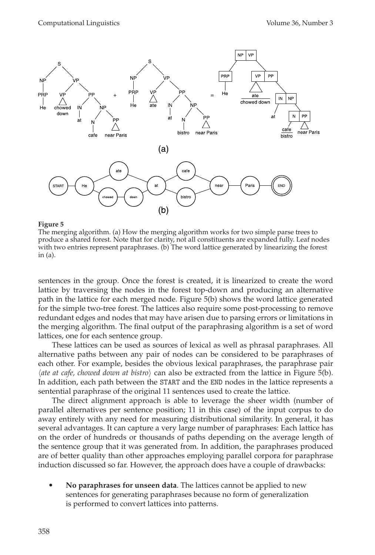

#### **Figure 5**

The merging algorithm. (a) How the merging algorithm works for two simple parse trees to produce a shared forest. Note that for clarity, not all constituents are expanded fully. Leaf nodes with two entries represent paraphrases. (b) The word lattice generated by linearizing the forest in (a).

sentences in the group. Once the forest is created, it is linearized to create the word lattice by traversing the nodes in the forest top-down and producing an alternative path in the lattice for each merged node. Figure 5(b) shows the word lattice generated for the simple two-tree forest. The lattices also require some post-processing to remove redundant edges and nodes that may have arisen due to parsing errors or limitations in the merging algorithm. The final output of the paraphrasing algorithm is a set of word lattices, one for each sentence group.

These lattices can be used as sources of lexical as well as phrasal paraphrases. All alternative paths between any pair of nodes can be considered to be paraphrases of each other. For example, besides the obvious lexical paraphrases, the paraphrase pair *Ate at cafe, chowed down at bistro* can also be extracted from the lattice in Figure 5(b). In addition, each path between the START and the END nodes in the lattice represents a sentential paraphrase of the original 11 sentences used to create the lattice.

The direct alignment approach is able to leverage the sheer width (number of parallel alternatives per sentence position; 11 in this case) of the input corpus to do away entirely with any need for measuring distributional similarity. In general, it has several advantages. It can capture a very large number of paraphrases: Each lattice has on the order of hundreds or thousands of paths depending on the average length of the sentence group that it was generated from. In addition, the paraphrases produced are of better quality than other approaches employing parallel corpora for paraphrase induction discussed so far. However, the approach does have a couple of drawbacks:

- **No paraphrases for unseen data**. The lattices cannot be applied to new sentences for generating paraphrases because no form of generalization is performed to convert lattices into patterns.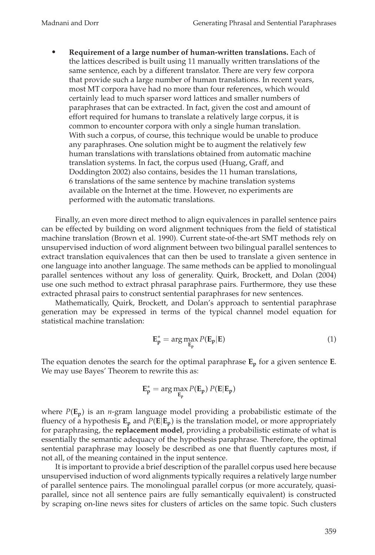$\bullet$  **Requirement of a large number of human-written translations.** Each of the lattices described is built using 11 manually written translations of the same sentence, each by a different translator. There are very few corpora that provide such a large number of human translations. In recent years, most MT corpora have had no more than four references, which would certainly lead to much sparser word lattices and smaller numbers of paraphrases that can be extracted. In fact, given the cost and amount of effort required for humans to translate a relatively large corpus, it is common to encounter corpora with only a single human translation. With such a corpus, of course, this technique would be unable to produce any paraphrases. One solution might be to augment the relatively few human translations with translations obtained from automatic machine translation systems. In fact, the corpus used (Huang, Graff, and Doddington 2002) also contains, besides the 11 human translations, 6 translations of the same sentence by machine translation systems available on the Internet at the time. However, no experiments are performed with the automatic translations.

Finally, an even more direct method to align equivalences in parallel sentence pairs can be effected by building on word alignment techniques from the field of statistical machine translation (Brown et al. 1990). Current state-of-the-art SMT methods rely on unsupervised induction of word alignment between two bilingual parallel sentences to extract translation equivalences that can then be used to translate a given sentence in one language into another language. The same methods can be applied to monolingual parallel sentences without any loss of generality. Quirk, Brockett, and Dolan (2004) use one such method to extract phrasal paraphrase pairs. Furthermore, they use these extracted phrasal pairs to construct sentential paraphrases for new sentences.

Mathematically, Quirk, Brockett, and Dolan's approach to sentential paraphrase generation may be expressed in terms of the typical channel model equation for statistical machine translation:

$$
\mathbf{E}_{\mathbf{p}}^* = \arg \max_{\mathbf{E}_{\mathbf{p}}} P(\mathbf{E}_{\mathbf{p}} | \mathbf{E}) \tag{1}
$$

The equation denotes the search for the optimal paraphrase  $E_p$  for a given sentence  $E$ . We may use Bayes' Theorem to rewrite this as:

$$
E_p^* = \arg\max_{E_p} P(E_p) \, P(E|E_p)
$$

where  $P(E_p)$  is an *n*-gram language model providing a probabilistic estimate of the fluency of a hypothesis  $E_p$  and  $P(E|E_p)$  is the translation model, or more appropriately for paraphrasing, the **replacement model**, providing a probabilistic estimate of what is essentially the semantic adequacy of the hypothesis paraphrase. Therefore, the optimal sentential paraphrase may loosely be described as one that fluently captures most, if not all, of the meaning contained in the input sentence.

It is important to provide a brief description of the parallel corpus used here because unsupervised induction of word alignments typically requires a relatively large number of parallel sentence pairs. The monolingual parallel corpus (or more accurately, quasiparallel, since not all sentence pairs are fully semantically equivalent) is constructed by scraping on-line news sites for clusters of articles on the same topic. Such clusters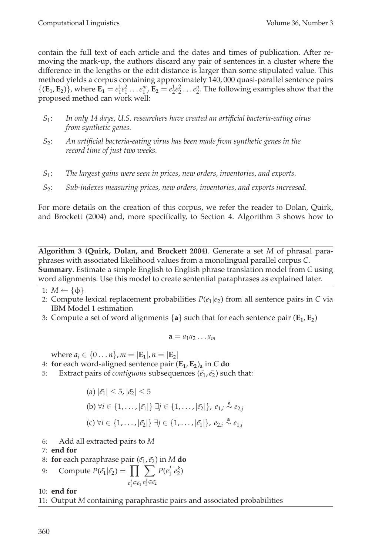contain the full text of each article and the dates and times of publication. After removing the mark-up, the authors discard any pair of sentences in a cluster where the difference in the lengths or the edit distance is larger than some stipulated value. This method yields a corpus containing approximately 140, 000 quasi-parallel sentence pairs  $\{(E_1, E_2)\}\$ , where  $E_1 = e_1^1 e_1^2 \dots e_1^m$ ,  $E_2 = e_2^1 e_2^2 \dots e_2^n$ . The following examples show that the proposed method can work well:

- *S*1: *In only 14 days, U.S. researchers have created an artificial bacteria-eating virus from synthetic genes.*
- *S*2: *An artificial bacteria-eating virus has been made from synthetic genes in the record time of just two weeks.*
- *S*1: *The largest gains were seen in prices, new orders, inventories, and exports.*
- *S*2: *Sub-indexes measuring prices, new orders, inventories, and exports increased.*

For more details on the creation of this corpus, we refer the reader to Dolan, Quirk, and Brockett (2004) and, more specifically, to Section 4. Algorithm 3 shows how to

**Algorithm 3 (Quirk, Dolan, and Brockett 2004)**. Generate a set *M* of phrasal paraphrases with associated likelihood values from a monolingual parallel corpus *C*. **Summary**. Estimate a simple English to English phrase translation model from *C* using

1:  $M \leftarrow {\phi}$ 

- 2: Compute lexical replacement probabilities  $P(e_1|e_2)$  from all sentence pairs in *C* via IBM Model 1 estimation
- 3: Compute a set of word alignments  $\{a\}$  such that for each sentence pair  $(E_1, E_2)$

word alignments. Use this model to create sentential paraphrases as explained later.

$$
\mathbf{a}=a_1a_2\ldots a_m
$$

where  $a_i \in \{0...n\}$ ,  $m = |\mathbf{E}_1|$ ,  $n = |\mathbf{E}_2|$ 

- 4: **for** each word-aligned sentence pair  $(E_1, E_2)$ <sub>a</sub> in *C* **do**
- 5: Extract pairs of *contiguous* subsequences ( $\bar{e_1}$ ,  $\bar{e_2}$ ) such that:

(a) 
$$
|\bar{e_1}| \le 5, |\bar{e_2}| \le 5
$$
  
\n(b)  $\forall i \in \{1, ..., |\bar{e_1}|\} \exists j \in \{1, ..., |\bar{e_2}|\}, e_{1,i} \stackrel{a}{\sim} e_{2,j}$   
\n(c)  $\forall i \in \{1, ..., |\bar{e_2}|\} \exists j \in \{1, ..., |\bar{e_1}|\}, e_{2,i} \stackrel{a}{\sim} e_{1,j}$ 

- 6: Add all extracted pairs to *M*
- 7: **end for**
- 8: **for** each paraphrase pair (*e*¯ 1,*e*¯ 2) in *M* **do**

9: Compute 
$$
P(\vec{e_1}|\vec{e_2}) = \prod_{e'_1 \in \vec{e_1}} \sum_{e'_2 \in \vec{e_2}} P(e'_1|e'_2)
$$

10: **end for**

11: Output *M* containing paraphrastic pairs and associated probabilities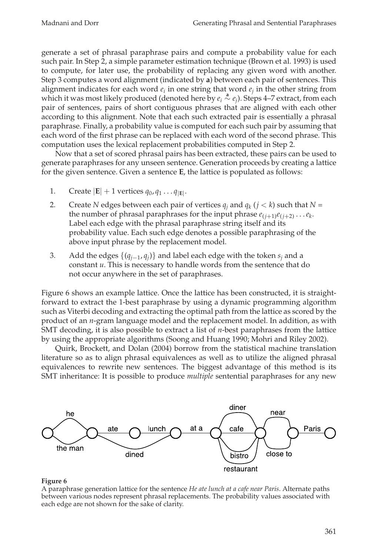generate a set of phrasal paraphrase pairs and compute a probability value for each such pair. In Step 2, a simple parameter estimation technique (Brown et al. 1993) is used to compute, for later use, the probability of replacing any given word with another. Step 3 computes a word alignment (indicated by **a**) between each pair of sentences. This alignment indicates for each word  $e_i$  in one string that word  $e_j$  in the other string from which it was most likely produced (denoted here by  $e_i \overset{a}{\sim} e_j$ ). Steps 4–7 extract, from each pair of sentences, pairs of short contiguous phrases that are aligned with each other according to this alignment. Note that each such extracted pair is essentially a phrasal paraphrase. Finally, a probability value is computed for each such pair by assuming that each word of the first phrase can be replaced with each word of the second phrase. This computation uses the lexical replacement probabilities computed in Step 2.

Now that a set of scored phrasal pairs has been extracted, these pairs can be used to generate paraphrases for any unseen sentence. Generation proceeds by creating a lattice for the given sentence. Given a sentence **E**, the lattice is populated as follows:

- 1. Create  $|\mathbf{E}| + 1$  vertices  $q_0, q_1 \dots q_{|\mathbf{E}|}$ .
- 2. Create *N* edges between each pair of vertices  $q_i$  and  $q_k$  ( $j < k$ ) such that  $N =$ the number of phrasal paraphrases for the input phrase  $e_{(j+1)}e_{(j+2)}...e_k$ . Label each edge with the phrasal paraphrase string itself and its probability value. Each such edge denotes a possible paraphrasing of the above input phrase by the replacement model.
- 3. Add the edges {(*qj*−1, *qj*)} and label each edge with the token *sj* and a constant *u*. This is necessary to handle words from the sentence that do not occur anywhere in the set of paraphrases.

Figure 6 shows an example lattice. Once the lattice has been constructed, it is straightforward to extract the 1-best paraphrase by using a dynamic programming algorithm such as Viterbi decoding and extracting the optimal path from the lattice as scored by the product of an *n*-gram language model and the replacement model. In addition, as with SMT decoding, it is also possible to extract a list of *n*-best paraphrases from the lattice by using the appropriate algorithms (Soong and Huang 1990; Mohri and Riley 2002).

Quirk, Brockett, and Dolan (2004) borrow from the statistical machine translation literature so as to align phrasal equivalences as well as to utilize the aligned phrasal equivalences to rewrite new sentences. The biggest advantage of this method is its SMT inheritance: It is possible to produce *multiple* sentential paraphrases for any new



### **Figure 6**

A paraphrase generation lattice for the sentence *He ate lunch at a cafe near Paris*. Alternate paths between various nodes represent phrasal replacements. The probability values associated with each edge are not shown for the sake of clarity.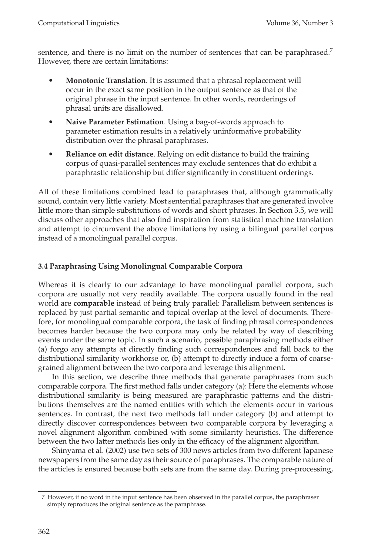sentence, and there is no limit on the number of sentences that can be paraphrased.<sup>7</sup> However, there are certain limitations:

- $\bullet$  **Monotonic Translation**. It is assumed that a phrasal replacement will occur in the exact same position in the output sentence as that of the original phrase in the input sentence. In other words, reorderings of phrasal units are disallowed.
- - **Naive Parameter Estimation**. Using a bag-of-words approach to parameter estimation results in a relatively uninformative probability distribution over the phrasal paraphrases.
- $\bullet$  **Reliance on edit distance**. Relying on edit distance to build the training corpus of quasi-parallel sentences may exclude sentences that do exhibit a paraphrastic relationship but differ significantly in constituent orderings.

All of these limitations combined lead to paraphrases that, although grammatically sound, contain very little variety. Most sentential paraphrases that are generated involve little more than simple substitutions of words and short phrases. In Section 3.5, we will discuss other approaches that also find inspiration from statistical machine translation and attempt to circumvent the above limitations by using a bilingual parallel corpus instead of a monolingual parallel corpus.

# **3.4 Paraphrasing Using Monolingual Comparable Corpora**

Whereas it is clearly to our advantage to have monolingual parallel corpora, such corpora are usually not very readily available. The corpora usually found in the real world are **comparable** instead of being truly parallel: Parallelism between sentences is replaced by just partial semantic and topical overlap at the level of documents. Therefore, for monolingual comparable corpora, the task of finding phrasal correspondences becomes harder because the two corpora may only be related by way of describing events under the same topic. In such a scenario, possible paraphrasing methods either (a) forgo any attempts at directly finding such correspondences and fall back to the distributional similarity workhorse or, (b) attempt to directly induce a form of coarsegrained alignment between the two corpora and leverage this alignment.

In this section, we describe three methods that generate paraphrases from such comparable corpora. The first method falls under category (a): Here the elements whose distributional similarity is being measured are paraphrastic patterns and the distributions themselves are the named entities with which the elements occur in various sentences. In contrast, the next two methods fall under category (b) and attempt to directly discover correspondences between two comparable corpora by leveraging a novel alignment algorithm combined with some similarity heuristics. The difference between the two latter methods lies only in the efficacy of the alignment algorithm.

Shinyama et al. (2002) use two sets of 300 news articles from two different Japanese newspapers from the same day as their source of paraphrases. The comparable nature of the articles is ensured because both sets are from the same day. During pre-processing,

<sup>7</sup> However, if no word in the input sentence has been observed in the parallel corpus, the paraphraser simply reproduces the original sentence as the paraphrase.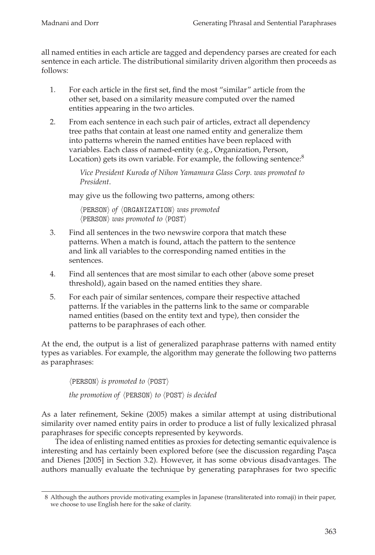all named entities in each article are tagged and dependency parses are created for each sentence in each article. The distributional similarity driven algorithm then proceeds as follows:

- 1. For each article in the first set, find the most "similar" article from the other set, based on a similarity measure computed over the named entities appearing in the two articles.
- 2. From each sentence in each such pair of articles, extract all dependency tree paths that contain at least one named entity and generalize them into patterns wherein the named entities have been replaced with variables. Each class of named-entity (e.g., Organization, Person, Location) gets its own variable. For example, the following sentence:<sup>8</sup>

*Vice President Kuroda of Nihon Yamamura Glass Corp. was promoted to President*.

may give us the following two patterns, among others:

PERSON *of* ORGANIZATION *was promoted*  $\langle$ PERSON $\rangle$  *was promoted to*  $\langle$ POST $\rangle$ 

- 3. Find all sentences in the two newswire corpora that match these patterns. When a match is found, attach the pattern to the sentence and link all variables to the corresponding named entities in the sentences.
- 4. Find all sentences that are most similar to each other (above some preset threshold), again based on the named entities they share.
- 5. For each pair of similar sentences, compare their respective attached patterns. If the variables in the patterns link to the same or comparable named entities (based on the entity text and type), then consider the patterns to be paraphrases of each other.

At the end, the output is a list of generalized paraphrase patterns with named entity types as variables. For example, the algorithm may generate the following two patterns as paraphrases:

 $\langle$ PERSON $\rangle$  *is promoted to*  $\langle$ POST $\rangle$ *the promotion of*  $\langle$  PERSON $\rangle$  *to*  $\langle$  POST $\rangle$  *is decided* 

As a later refinement, Sekine (2005) makes a similar attempt at using distributional similarity over named entity pairs in order to produce a list of fully lexicalized phrasal paraphrases for specific concepts represented by keywords.

The idea of enlisting named entities as proxies for detecting semantic equivalence is interesting and has certainly been explored before (see the discussion regarding Paşca and Dienes [2005] in Section 3.2). However, it has some obvious disadvantages. The authors manually evaluate the technique by generating paraphrases for two specific

<sup>8</sup> Although the authors provide motivating examples in Japanese (transliterated into romaji) in their paper, we choose to use English here for the sake of clarity.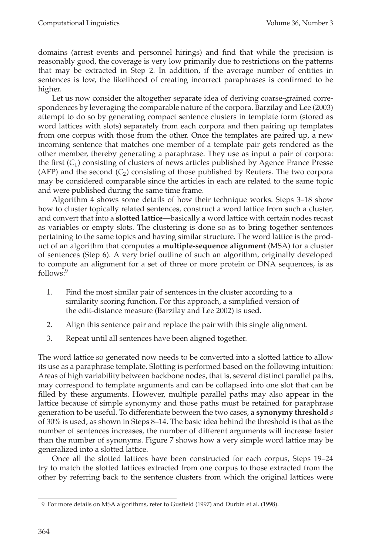domains (arrest events and personnel hirings) and find that while the precision is reasonably good, the coverage is very low primarily due to restrictions on the patterns that may be extracted in Step 2. In addition, if the average number of entities in sentences is low, the likelihood of creating incorrect paraphrases is confirmed to be higher.

Let us now consider the altogether separate idea of deriving coarse-grained correspondences by leveraging the comparable nature of the corpora. Barzilay and Lee (2003) attempt to do so by generating compact sentence clusters in template form (stored as word lattices with slots) separately from each corpora and then pairing up templates from one corpus with those from the other. Once the templates are paired up, a new incoming sentence that matches one member of a template pair gets rendered as the other member, thereby generating a paraphrase. They use as input a pair of corpora: the first  $(C_1)$  consisting of clusters of news articles published by Agence France Presse (AFP) and the second  $(C_2)$  consisting of those published by Reuters. The two corpora may be considered comparable since the articles in each are related to the same topic and were published during the same time frame.

Algorithm 4 shows some details of how their technique works. Steps 3–18 show how to cluster topically related sentences, construct a word lattice from such a cluster, and convert that into a **slotted lattice**—basically a word lattice with certain nodes recast as variables or empty slots. The clustering is done so as to bring together sentences pertaining to the same topics and having similar structure. The word lattice is the product of an algorithm that computes a **multiple-sequence alignment** (MSA) for a cluster of sentences (Step 6). A very brief outline of such an algorithm, originally developed to compute an alignment for a set of three or more protein or DNA sequences, is as follows:<sup>9</sup>

- 1. Find the most similar pair of sentences in the cluster according to a similarity scoring function. For this approach, a simplified version of the edit-distance measure (Barzilay and Lee 2002) is used.
- 2. Align this sentence pair and replace the pair with this single alignment.
- 3. Repeat until all sentences have been aligned together.

The word lattice so generated now needs to be converted into a slotted lattice to allow its use as a paraphrase template. Slotting is performed based on the following intuition: Areas of high variability between backbone nodes, that is, several distinct parallel paths, may correspond to template arguments and can be collapsed into one slot that can be filled by these arguments. However, multiple parallel paths may also appear in the lattice because of simple synonymy and those paths must be retained for paraphrase generation to be useful. To differentiate between the two cases, a **synonymy threshold** *s* of 30% is used, as shown in Steps 8–14. The basic idea behind the threshold is that as the number of sentences increases, the number of different arguments will increase faster than the number of synonyms. Figure 7 shows how a very simple word lattice may be generalized into a slotted lattice.

Once all the slotted lattices have been constructed for each corpus, Steps 19–24 try to match the slotted lattices extracted from one corpus to those extracted from the other by referring back to the sentence clusters from which the original lattices were

<sup>9</sup> For more details on MSA algorithms, refer to Gusfield (1997) and Durbin et al. (1998).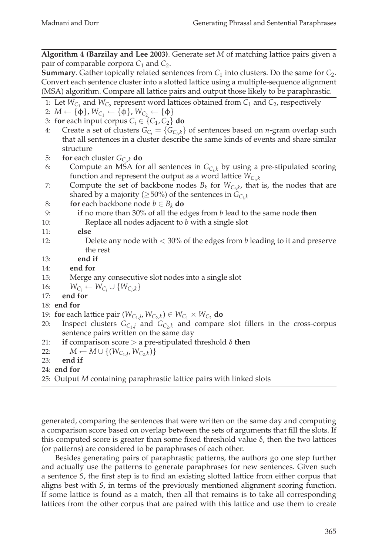**Algorithm 4 (Barzilay and Lee 2003)**. Generate set *M* of matching lattice pairs given a pair of comparable corpora  $C_1$  and  $C_2$ .

**Summary**. Gather topically related sentences from  $C_1$  into clusters. Do the same for  $C_2$ . Convert each sentence cluster into a slotted lattice using a multiple-sequence alignment (MSA) algorithm. Compare all lattice pairs and output those likely to be paraphrastic.

- 1: Let  $W_{C_1}$  and  $W_{C_2}$  represent word lattices obtained from  $C_1$  and  $C_2$ , respectively
- 2:  $M \leftarrow \{\phi\}$ ,  $W_{C_1} \leftarrow \{\phi\}$ ,  $W_{C_2} \leftarrow \{\phi\}$
- 3: **for** each input corpus  $C_i \in \{C_1, C_2\}$  **do**
- 4: Create a set of clusters  $G_C = \{G_{C,k}\}\$  of sentences based on *n*-gram overlap such that all sentences in a cluster describe the same kinds of events and share similar structure
- 5: **for** each cluster *GCi*,*<sup>k</sup>* **do**
- 6: Compute an MSA for all sentences in  $G_{C_i,k}$  by using a pre-stipulated scoring function and represent the output as a word lattice  $W_{C_i,k}$
- 7: Compute the set of backbone nodes  $B_k$  for  $W_{C,k}$ , that is, the nodes that are shared by a majority ( $\geq$ 50%) of the sentences in  $G_{C_i,k}$
- 8: **for** each backbone node  $b \in B_k$  **do**
- 9: **if** no more than 30% of all the edges from *b* lead to the same node **then** 10: Replace all nodes adjacent to *b* with a single slot
- 11: **else**
- 12: Delete any node with < 30% of the edges from *b* leading to it and preserve
	- the rest
- 13: **end if**
- 14: **end for**
- 15: Merge any consecutive slot nodes into a single slot
- 16:  $W_{C_i} \leftarrow W_{C_i} \cup \{W_{C_i,k}\}$ <br>17: **end for**
- end for
- 18: **end for**
- 19: **for** each lattice pair  $(W_{C_1,j}, W_{C_2,k}) \in W_{C_1} \times W_{C_2}$  do
- 20: Inspect clusters  $G_{C_1,i}$  and  $G_{C_2,k}$  and compare slot fillers in the cross-corpus sentence pairs written on the same day
- 21: **if** comparison score > a pre-stipulated threshold δ **then**
- 22: *M* ← *M* ∪ {( $W_{C_1,j}$ ,  $W_{C_2,k}$ )}
- 23: **end if**
- 24: **end for**

```
25: Output M containing paraphrastic lattice pairs with linked slots
```
generated, comparing the sentences that were written on the same day and computing a comparison score based on overlap between the sets of arguments that fill the slots. If this computed score is greater than some fixed threshold value  $\delta$ , then the two lattices (or patterns) are considered to be paraphrases of each other.

Besides generating pairs of paraphrastic patterns, the authors go one step further and actually use the patterns to generate paraphrases for new sentences. Given such a sentence *S*, the first step is to find an existing slotted lattice from either corpus that aligns best with *S*, in terms of the previously mentioned alignment scoring function. If some lattice is found as a match, then all that remains is to take all corresponding lattices from the other corpus that are paired with this lattice and use them to create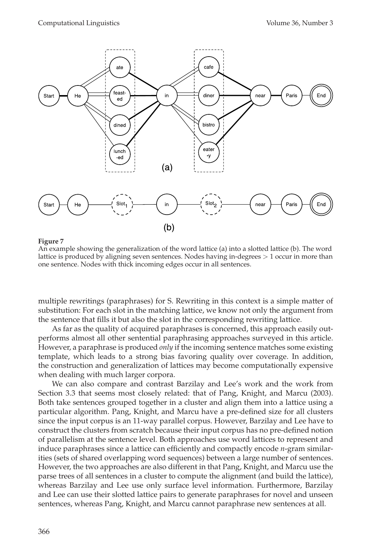

**Figure 7**

An example showing the generalization of the word lattice (a) into a slotted lattice (b). The word lattice is produced by aligning seven sentences. Nodes having in-degrees > 1 occur in more than one sentence. Nodes with thick incoming edges occur in all sentences.

multiple rewritings (paraphrases) for S. Rewriting in this context is a simple matter of substitution: For each slot in the matching lattice, we know not only the argument from the sentence that fills it but also the slot in the corresponding rewriting lattice.

As far as the quality of acquired paraphrases is concerned, this approach easily outperforms almost all other sentential paraphrasing approaches surveyed in this article. However, a paraphrase is produced *only* if the incoming sentence matches some existing template, which leads to a strong bias favoring quality over coverage. In addition, the construction and generalization of lattices may become computationally expensive when dealing with much larger corpora.

We can also compare and contrast Barzilay and Lee's work and the work from Section 3.3 that seems most closely related: that of Pang, Knight, and Marcu (2003). Both take sentences grouped together in a cluster and align them into a lattice using a particular algorithm. Pang, Knight, and Marcu have a pre-defined size for all clusters since the input corpus is an 11-way parallel corpus. However, Barzilay and Lee have to construct the clusters from scratch because their input corpus has no pre-defined notion of parallelism at the sentence level. Both approaches use word lattices to represent and induce paraphrases since a lattice can efficiently and compactly encode *n*-gram similarities (sets of shared overlapping word sequences) between a large number of sentences. However, the two approaches are also different in that Pang, Knight, and Marcu use the parse trees of all sentences in a cluster to compute the alignment (and build the lattice), whereas Barzilay and Lee use only surface level information. Furthermore, Barzilay and Lee can use their slotted lattice pairs to generate paraphrases for novel and unseen sentences, whereas Pang, Knight, and Marcu cannot paraphrase new sentences at all.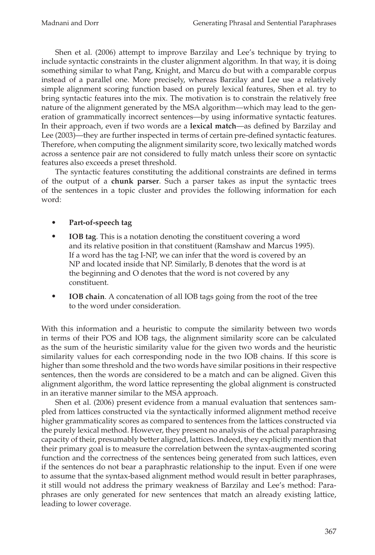Shen et al. (2006) attempt to improve Barzilay and Lee's technique by trying to include syntactic constraints in the cluster alignment algorithm. In that way, it is doing something similar to what Pang, Knight, and Marcu do but with a comparable corpus instead of a parallel one. More precisely, whereas Barzilay and Lee use a relatively simple alignment scoring function based on purely lexical features, Shen et al. try to bring syntactic features into the mix. The motivation is to constrain the relatively free nature of the alignment generated by the MSA algorithm—which may lead to the generation of grammatically incorrect sentences—by using informative syntactic features. In their approach, even if two words are a **lexical match**—as defined by Barzilay and Lee (2003)—they are further inspected in terms of certain pre-defined syntactic features. Therefore, when computing the alignment similarity score, two lexically matched words across a sentence pair are not considered to fully match unless their score on syntactic features also exceeds a preset threshold.

The syntactic features constituting the additional constraints are defined in terms of the output of a **chunk parser**. Such a parser takes as input the syntactic trees of the sentences in a topic cluster and provides the following information for each word:

- -**Part-of-speech tag**
- - **IOB tag**. This is a notation denoting the constituent covering a word and its relative position in that constituent (Ramshaw and Marcus 1995). If a word has the tag I-NP, we can infer that the word is covered by an NP and located inside that NP. Similarly, B denotes that the word is at the beginning and O denotes that the word is not covered by any constituent.
- $\bullet$  **IOB chain**. A concatenation of all IOB tags going from the root of the tree to the word under consideration.

With this information and a heuristic to compute the similarity between two words in terms of their POS and IOB tags, the alignment similarity score can be calculated as the sum of the heuristic similarity value for the given two words and the heuristic similarity values for each corresponding node in the two IOB chains. If this score is higher than some threshold and the two words have similar positions in their respective sentences, then the words are considered to be a match and can be aligned. Given this alignment algorithm, the word lattice representing the global alignment is constructed in an iterative manner similar to the MSA approach.

Shen et al. (2006) present evidence from a manual evaluation that sentences sampled from lattices constructed via the syntactically informed alignment method receive higher grammaticality scores as compared to sentences from the lattices constructed via the purely lexical method. However, they present no analysis of the actual paraphrasing capacity of their, presumably better aligned, lattices. Indeed, they explicitly mention that their primary goal is to measure the correlation between the syntax-augmented scoring function and the correctness of the sentences being generated from such lattices, even if the sentences do not bear a paraphrastic relationship to the input. Even if one were to assume that the syntax-based alignment method would result in better paraphrases, it still would not address the primary weakness of Barzilay and Lee's method: Paraphrases are only generated for new sentences that match an already existing lattice, leading to lower coverage.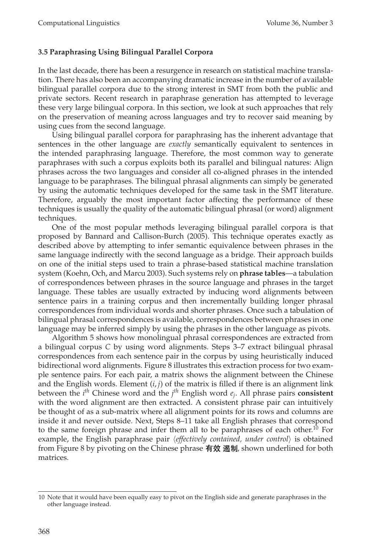# **3.5 Paraphrasing Using Bilingual Parallel Corpora**

In the last decade, there has been a resurgence in research on statistical machine translation. There has also been an accompanying dramatic increase in the number of available bilingual parallel corpora due to the strong interest in SMT from both the public and private sectors. Recent research in paraphrase generation has attempted to leverage these very large bilingual corpora. In this section, we look at such approaches that rely on the preservation of meaning across languages and try to recover said meaning by using cues from the second language.

Using bilingual parallel corpora for paraphrasing has the inherent advantage that sentences in the other language are *exactly* semantically equivalent to sentences in the intended paraphrasing language. Therefore, the most common way to generate paraphrases with such a corpus exploits both its parallel and bilingual natures: Align phrases across the two languages and consider all co-aligned phrases in the intended language to be paraphrases. The bilingual phrasal alignments can simply be generated by using the automatic techniques developed for the same task in the SMT literature. Therefore, arguably the most important factor affecting the performance of these techniques is usually the quality of the automatic bilingual phrasal (or word) alignment techniques.

One of the most popular methods leveraging bilingual parallel corpora is that proposed by Bannard and Callison-Burch (2005). This technique operates exactly as described above by attempting to infer semantic equivalence between phrases in the same language indirectly with the second language as a bridge. Their approach builds on one of the initial steps used to train a phrase-based statistical machine translation system (Koehn, Och, and Marcu 2003). Such systems rely on **phrase tables**—a tabulation of correspondences between phrases in the source language and phrases in the target language. These tables are usually extracted by inducing word alignments between sentence pairs in a training corpus and then incrementally building longer phrasal correspondences from individual words and shorter phrases. Once such a tabulation of bilingual phrasal correspondences is available, correspondences between phrases in one language may be inferred simply by using the phrases in the other language as pivots.

Algorithm 5 shows how monolingual phrasal correspondences are extracted from a bilingual corpus *C* by using word alignments. Steps 3–7 extract bilingual phrasal correspondences from each sentence pair in the corpus by using heuristically induced bidirectional word alignments. Figure 8 illustrates this extraction process for two example sentence pairs. For each pair, a matrix shows the alignment between the Chinese and the English words. Element  $(i, j)$  of the matrix is filled if there is an alignment link between the *i th* Chinese word and the *j th* English word *ej*. All phrase pairs **consistent** with the word alignment are then extracted. A consistent phrase pair can intuitively be thought of as a sub-matrix where all alignment points for its rows and columns are inside it and never outside. Next, Steps 8–11 take all English phrases that correspond to the same foreign phrase and infer them all to be paraphrases of each other.<sup>10</sup> For example, the English paraphrase pair *effectively contained, under control* is obtained from Figure 8 by pivoting on the Chinese phrase 有效 遏制, shown underlined for both matrices.

<sup>10</sup> Note that it would have been equally easy to pivot on the English side and generate paraphrases in the other language instead.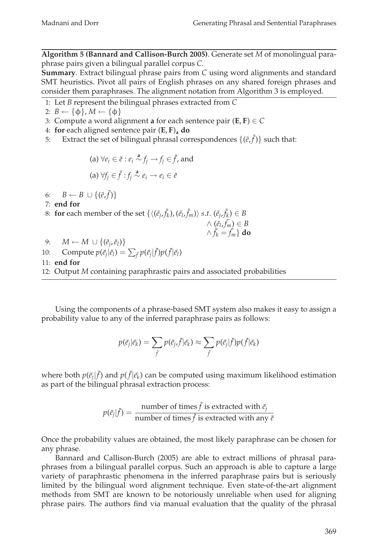**Algorithm 5 (Bannard and Callison-Burch 2005)**. Generate set *M* of monolingual paraphrase pairs given a bilingual parallel corpus *C*.

**Summary**. Extract bilingual phrase pairs from *C* using word alignments and standard SMT heuristics. Pivot all pairs of English phrases on any shared foreign phrases and consider them paraphrases. The alignment notation from Algorithm 3 is employed.

1: Let *B* represent the bilingual phrases extracted from *C*

2:  $B \leftarrow {\phi}, M \leftarrow {\phi}$ 

- 3: Compute a word alignment **a** for each sentence pair  $(E, F) \in C$
- 4: **for** each aligned sentence pair (**E**, **F**)**<sup>a</sup> do**
- 5: Extract the set of bilingual phrasal correspondences  $\{(\bar{e}, \bar{f})\}$  such that:

(a) 
$$
\forall e_i \in \bar{e} : e_i \stackrel{\mathbf{a}}{\sim} f_j \rightarrow f_j \in \bar{f}
$$
, and  
(a)  $\forall f_j \in \bar{f} : f_j \stackrel{\mathbf{a}}{\sim} e_i \rightarrow e_i \in \bar{e}$ 

6: *B* ← *B* ∪ { $(\bar{e}, \bar{f})$ }

7: **end for**

8: **for** each member of the set  $\{ \langle (\bar{e_j}, \bar{f_k}) , (\bar{e_l}, \bar{f_m}) \rangle \ s.t. (\bar{e_j}, \bar{f_k}) \in B \}$ 

$$
\wedge \ (\bar{e}_{l} , \bar{f}_{m}) \in B \wedge \bar{f}_{k} = \bar{f}_{m} \} \textbf{ do}
$$

9: 
$$
M \leftarrow M \cup \{(\bar{e}_j, \bar{e}_l)\}
$$

- 10: Compute  $p(\bar{e}_j|\bar{e}_l) = \sum_{\bar{f}} p(\bar{e}_j|\bar{f}) p(\bar{f}|\bar{e}_l)$
- 11: **end for**

12: Output *M* containing paraphrastic pairs and associated probabilities

Using the components of a phrase-based SMT system also makes it easy to assign a probability value to any of the inferred paraphrase pairs as follows:

$$
p(\bar{e}_j|\bar{e}_k)=\sum_{\bar{f}}p(\bar{e}_j,\bar{f}|\bar{e}_k)\approx\sum_{\bar{f}}p(\bar{e}_j|\bar{f})p(\bar{f}|\bar{e}_k)
$$

where both  $p(\bar{e_j}|\bar{f})$  and  $p(\bar{f}|\bar{e_k})$  can be computed using maximum likelihood estimation as part of the bilingual phrasal extraction process:

$$
p(\bar{e}_j|\bar{f}) = \frac{\text{number of times }\bar{f} \text{ is extracted with } \bar{e}_j}{\text{number of times }\bar{f} \text{ is extracted with any }\bar{e}}
$$

Once the probability values are obtained, the most likely paraphrase can be chosen for any phrase.

Bannard and Callison-Burch (2005) are able to extract millions of phrasal paraphrases from a bilingual parallel corpus. Such an approach is able to capture a large variety of paraphrastic phenomena in the inferred paraphrase pairs but is seriously limited by the bilingual word alignment technique. Even state-of-the-art alignment methods from SMT are known to be notoriously unreliable when used for aligning phrase pairs. The authors find via manual evaluation that the quality of the phrasal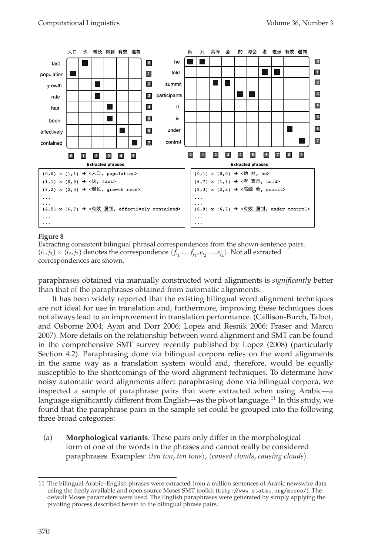

#### **Figure 8**

Extracting consistent bilingual phrasal correspondences from the shown sentence pairs.  $(i_1, j_1) \times (i_2, j_2)$  denotes the correspondence  $\langle f_{i_1} \dots f_{j_1}, e_{i_2} \dots e_{j_2} \rangle$ . Not all extracted correspondences are shown.

paraphrases obtained via manually constructed word alignments is *significantly* better than that of the paraphrases obtained from automatic alignments.

It has been widely reported that the existing bilingual word alignment techniques are not ideal for use in translation and, furthermore, improving these techniques does not always lead to an improvement in translation performance. (Callison-Burch, Talbot, and Osborne 2004; Ayan and Dorr 2006; Lopez and Resnik 2006; Fraser and Marcu 2007). More details on the relationship between word alignment and SMT can be found in the comprehensive SMT survey recently published by Lopez (2008) (particularly Section 4.2). Paraphrasing done via bilingual corpora relies on the word alignments in the same way as a translation system would and, therefore, would be equally susceptible to the shortcomings of the word alignment techniques. To determine how noisy automatic word alignments affect paraphrasing done via bilingual corpora, we inspected a sample of paraphrase pairs that were extracted when using Arabic—a language significantly different from English—as the pivot language.<sup>11</sup> In this study, we found that the paraphrase pairs in the sample set could be grouped into the following three broad categories:

(a) **Morphological variants**. These pairs only differ in the morphological form of one of the words in the phrases and cannot really be considered paraphrases. Examples: *ten ton*, *ten tons*, *caused clouds*, *causing clouds*.

<sup>11</sup> The bilingual Arabic–English phrases were extracted from a million sentences of Arabic newswire data using the freely available and open source Moses SMT toolkit (http://www.statmt.org/moses/). The default Moses parameters were used. The English paraphrases were generated by simply applying the pivoting process described herein to the bilingual phrase pairs.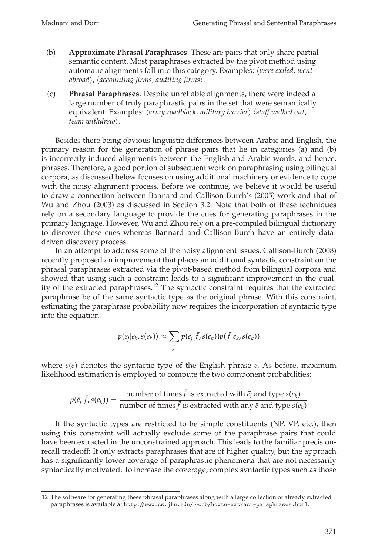- (b) **Approximate Phrasal Paraphrases**. These are pairs that only share partial semantic content. Most paraphrases extracted by the pivot method using automatic alignments fall into this category. Examples: *were exiled*, *went abroad*, *accounting firms*, *auditing firms*.
- (c) **Phrasal Paraphrases**. Despite unreliable alignments, there were indeed a large number of truly paraphrastic pairs in the set that were semantically equivalent. Examples:  $\langle \text{army roadblock}, \text{military barrier} \rangle$   $\langle \text{staff walked out}, \text{military barrier} \rangle$ *team withdrew*.

Besides there being obvious linguistic differences between Arabic and English, the primary reason for the generation of phrase pairs that lie in categories (a) and (b) is incorrectly induced alignments between the English and Arabic words, and hence, phrases. Therefore, a good portion of subsequent work on paraphrasing using bilingual corpora, as discussed below focuses on using additional machinery or evidence to cope with the noisy alignment process. Before we continue, we believe it would be useful to draw a connection between Bannard and Callison-Burch's (2005) work and that of Wu and Zhou (2003) as discussed in Section 3.2. Note that both of these techniques rely on a secondary language to provide the cues for generating paraphrases in the primary language. However, Wu and Zhou rely on a pre-compiled bilingual dictionary to discover these cues whereas Bannard and Callison-Burch have an entirely datadriven discovery process.

In an attempt to address some of the noisy alignment issues, Callison-Burch (2008) recently proposed an improvement that places an additional syntactic constraint on the phrasal paraphrases extracted via the pivot-based method from bilingual corpora and showed that using such a constraint leads to a significant improvement in the quality of the extracted paraphrases.<sup>12</sup> The syntactic constraint requires that the extracted paraphrase be of the same syntactic type as the original phrase. With this constraint, estimating the paraphrase probability now requires the incorporation of syntactic type into the equation:

$$
p(\bar{e}_j|\bar{e}_k,s(e_k))\approx \sum_{\bar{f}}p(\bar{e}_j|\bar{f},s(e_k))p(\bar{f}|\bar{e}_k,s(e_k))
$$

where *s*(*e*) denotes the syntactic type of the English phrase *e*. As before, maximum likelihood estimation is employed to compute the two component probabilities:

$$
p(\bar{e}_j|\bar{f}, s(e_k)) = \frac{\text{number of times }\bar{f} \text{ is extracted with } \bar{e}_j \text{ and type } s(e_k)}{\text{number of times }\bar{f} \text{ is extracted with any }\bar{e} \text{ and type } s(e_k)}
$$

If the syntactic types are restricted to be simple constituents (NP, VP, etc.), then using this constraint will actually exclude some of the paraphrase pairs that could have been extracted in the unconstrained approach. This leads to the familiar precisionrecall tradeoff: It only extracts paraphrases that are of higher quality, but the approach has a significantly lower coverage of paraphrastic phenomena that are not necessarily syntactically motivated. To increase the coverage, complex syntactic types such as those

<sup>12</sup> The software for generating these phrasal paraphrases along with a large collection of already extracted paraphrases is available at http://www.cs.jhu.edu/∼ccb/howto-extract-paraphrases.html.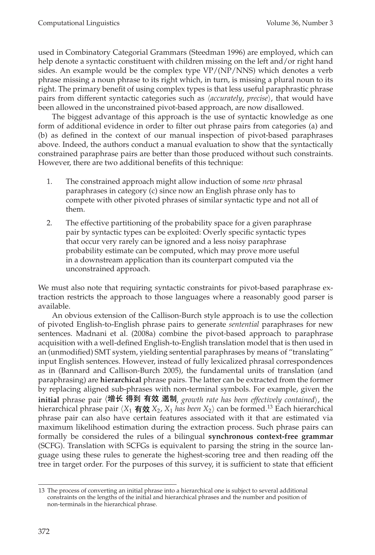used in Combinatory Categorial Grammars (Steedman 1996) are employed, which can help denote a syntactic constituent with children missing on the left and/or right hand sides. An example would be the complex type VP/(NP/NNS) which denotes a verb phrase missing a noun phrase to its right which, in turn, is missing a plural noun to its right. The primary benefit of using complex types is that less useful paraphrastic phrase pairs from different syntactic categories such as *accurately*, *precise*, that would have been allowed in the unconstrained pivot-based approach, are now disallowed.

The biggest advantage of this approach is the use of syntactic knowledge as one form of additional evidence in order to filter out phrase pairs from categories (a) and (b) as defined in the context of our manual inspection of pivot-based paraphrases above. Indeed, the authors conduct a manual evaluation to show that the syntactically constrained paraphrase pairs are better than those produced without such constraints. However, there are two additional benefits of this technique:

- 1. The constrained approach might allow induction of some *new* phrasal paraphrases in category (c) since now an English phrase only has to compete with other pivoted phrases of similar syntactic type and not all of them.
- 2. The effective partitioning of the probability space for a given paraphrase pair by syntactic types can be exploited: Overly specific syntactic types that occur very rarely can be ignored and a less noisy paraphrase probability estimate can be computed, which may prove more useful in a downstream application than its counterpart computed via the unconstrained approach.

We must also note that requiring syntactic constraints for pivot-based paraphrase extraction restricts the approach to those languages where a reasonably good parser is available.

An obvious extension of the Callison-Burch style approach is to use the collection of pivoted English-to-English phrase pairs to generate *sentential* paraphrases for new sentences. Madnani et al. (2008a) combine the pivot-based approach to paraphrase acquisition with a well-defined English-to-English translation model that is then used in an (unmodified) SMT system, yielding sentential paraphrases by means of "translating" input English sentences. However, instead of fully lexicalized phrasal correspondences as in (Bannard and Callison-Burch 2005), the fundamental units of translation (and paraphrasing) are **hierarchical** phrase pairs. The latter can be extracted from the former by replacing aligned sub-phrases with non-terminal symbols. For example, given the initial phrase pair 〈增长 得到 有效 遏制, growth rate has been effectively contained<sub></sub>〉, the hierarchical phrase pair  $\langle X_1 \overline{A} \rangle X_2$ ,  $X_1$  *has been*  $X_2$  can be formed.<sup>13</sup> Each hierarchical phrase pair can also have certain features associated with it that are estimated via maximum likelihood estimation during the extraction process. Such phrase pairs can formally be considered the rules of a bilingual **synchronous context-free grammar** (SCFG). Translation with SCFGs is equivalent to parsing the string in the source language using these rules to generate the highest-scoring tree and then reading off the tree in target order. For the purposes of this survey, it is sufficient to state that efficient

<sup>13</sup> The process of converting an initial phrase into a hierarchical one is subject to several additional constraints on the lengths of the initial and hierarchical phrases and the number and position of non-terminals in the hierarchical phrase.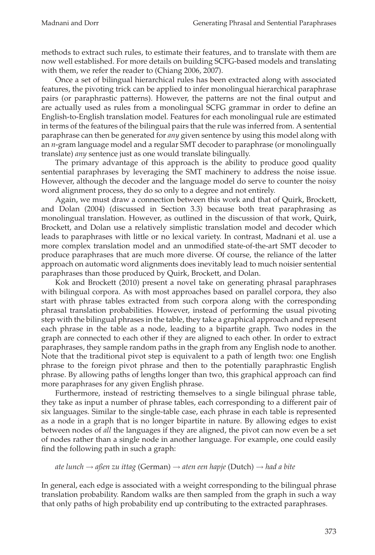methods to extract such rules, to estimate their features, and to translate with them are now well established. For more details on building SCFG-based models and translating with them, we refer the reader to (Chiang 2006, 2007).

Once a set of bilingual hierarchical rules has been extracted along with associated features, the pivoting trick can be applied to infer monolingual hierarchical paraphrase pairs (or paraphrastic patterns). However, the patterns are not the final output and are actually used as rules from a monolingual SCFG grammar in order to define an English-to-English translation model. Features for each monolingual rule are estimated in terms of the features of the bilingual pairs that the rule was inferred from. A sentential paraphrase can then be generated for *any* given sentence by using this model along with an *n*-gram language model and a regular SMT decoder to paraphrase (or monolingually translate) *any* sentence just as one would translate bilingually.

The primary advantage of this approach is the ability to produce good quality sentential paraphrases by leveraging the SMT machinery to address the noise issue. However, although the decoder and the language model do serve to counter the noisy word alignment process, they do so only to a degree and not entirely.

Again, we must draw a connection between this work and that of Quirk, Brockett, and Dolan (2004) (discussed in Section 3.3) because both treat paraphrasing as monolingual translation. However, as outlined in the discussion of that work, Quirk, Brockett, and Dolan use a relatively simplistic translation model and decoder which leads to paraphrases with little or no lexical variety. In contrast, Madnani et al. use a more complex translation model and an unmodified state-of-the-art SMT decoder to produce paraphrases that are much more diverse. Of course, the reliance of the latter approach on automatic word alignments does inevitably lead to much noisier sentential paraphrases than those produced by Quirk, Brockett, and Dolan.

Kok and Brockett (2010) present a novel take on generating phrasal paraphrases with bilingual corpora. As with most approaches based on parallel corpora, they also start with phrase tables extracted from such corpora along with the corresponding phrasal translation probabilities. However, instead of performing the usual pivoting step with the bilingual phrases in the table, they take a graphical approach and represent each phrase in the table as a node, leading to a bipartite graph. Two nodes in the graph are connected to each other if they are aligned to each other. In order to extract paraphrases, they sample random paths in the graph from any English node to another. Note that the traditional pivot step is equivalent to a path of length two: one English phrase to the foreign pivot phrase and then to the potentially paraphrastic English phrase. By allowing paths of lengths longer than two, this graphical approach can find more paraphrases for any given English phrase.

Furthermore, instead of restricting themselves to a single bilingual phrase table, they take as input a number of phrase tables, each corresponding to a different pair of six languages. Similar to the single-table case, each phrase in each table is represented as a node in a graph that is no longer bipartite in nature. By allowing edges to exist between nodes of *all* the languages if they are aligned, the pivot can now even be a set of nodes rather than a single node in another language. For example, one could easily find the following path in such a graph:

# *ate lunch* → *aßen zu ittag* (German) → *aten een hapje* (Dutch) → *had a bite*

In general, each edge is associated with a weight corresponding to the bilingual phrase translation probability. Random walks are then sampled from the graph in such a way that only paths of high probability end up contributing to the extracted paraphrases.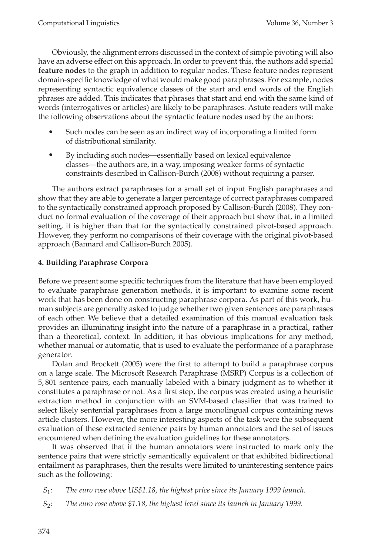Obviously, the alignment errors discussed in the context of simple pivoting will also have an adverse effect on this approach. In order to prevent this, the authors add special **feature nodes** to the graph in addition to regular nodes. These feature nodes represent domain-specific knowledge of what would make good paraphrases. For example, nodes representing syntactic equivalence classes of the start and end words of the English phrases are added. This indicates that phrases that start and end with the same kind of words (interrogatives or articles) are likely to be paraphrases. Astute readers will make the following observations about the syntactic feature nodes used by the authors:

- - Such nodes can be seen as an indirect way of incorporating a limited form of distributional similarity.
- - By including such nodes—essentially based on lexical equivalence classes—the authors are, in a way, imposing weaker forms of syntactic constraints described in Callison-Burch (2008) without requiring a parser.

The authors extract paraphrases for a small set of input English paraphrases and show that they are able to generate a larger percentage of correct paraphrases compared to the syntactically constrained approach proposed by Callison-Burch (2008). They conduct no formal evaluation of the coverage of their approach but show that, in a limited setting, it is higher than that for the syntactically constrained pivot-based approach. However, they perform no comparisons of their coverage with the original pivot-based approach (Bannard and Callison-Burch 2005).

# **4. Building Paraphrase Corpora**

Before we present some specific techniques from the literature that have been employed to evaluate paraphrase generation methods, it is important to examine some recent work that has been done on constructing paraphrase corpora. As part of this work, human subjects are generally asked to judge whether two given sentences are paraphrases of each other. We believe that a detailed examination of this manual evaluation task provides an illuminating insight into the nature of a paraphrase in a practical, rather than a theoretical, context. In addition, it has obvious implications for any method, whether manual or automatic, that is used to evaluate the performance of a paraphrase generator.

Dolan and Brockett (2005) were the first to attempt to build a paraphrase corpus on a large scale. The Microsoft Research Paraphrase (MSRP) Corpus is a collection of 5, 801 sentence pairs, each manually labeled with a binary judgment as to whether it constitutes a paraphrase or not. As a first step, the corpus was created using a heuristic extraction method in conjunction with an SVM-based classifier that was trained to select likely sentential paraphrases from a large monolingual corpus containing news article clusters. However, the more interesting aspects of the task were the subsequent evaluation of these extracted sentence pairs by human annotators and the set of issues encountered when defining the evaluation guidelines for these annotators.

It was observed that if the human annotators were instructed to mark only the sentence pairs that were strictly semantically equivalent or that exhibited bidirectional entailment as paraphrases, then the results were limited to uninteresting sentence pairs such as the following:

- *S*1: *The euro rose above US\$1.18, the highest price since its January 1999 launch.*
- *S*2: *The euro rose above \$1.18, the highest level since its launch in January 1999.*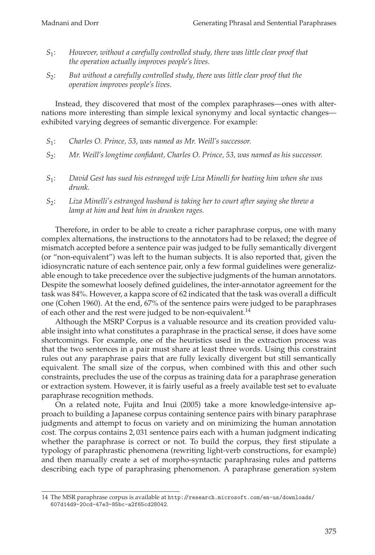- *S*1: *However, without a carefully controlled study, there was little clear proof that the operation actually improves people's lives.*
- *S*2: *But without a carefully controlled study, there was little clear proof that the operation improves people's lives.*

Instead, they discovered that most of the complex paraphrases—ones with alternations more interesting than simple lexical synonymy and local syntactic changes exhibited varying degrees of semantic divergence. For example:

- *S*1: *Charles O. Prince, 53, was named as Mr. Weill's successor.*
- *S*2: *Mr. Weill's longtime confidant, Charles O. Prince, 53, was named as his successor.*
- *S*1: *David Gest has sued his estranged wife Liza Minelli for beating him when she was drunk.*
- *S*2: *Liza Minelli's estranged husband is taking her to court after saying she threw a lamp at him and beat him in drunken rages.*

Therefore, in order to be able to create a richer paraphrase corpus, one with many complex alternations, the instructions to the annotators had to be relaxed; the degree of mismatch accepted before a sentence pair was judged to be fully semantically divergent (or "non-equivalent") was left to the human subjects. It is also reported that, given the idiosyncratic nature of each sentence pair, only a few formal guidelines were generalizable enough to take precedence over the subjective judgments of the human annotators. Despite the somewhat loosely defined guidelines, the inter-annotator agreement for the task was 84%. However, a kappa score of 62 indicated that the task was overall a difficult one (Cohen 1960). At the end, 67% of the sentence pairs were judged to be paraphrases of each other and the rest were judged to be non-equivalent.<sup>14</sup>

Although the MSRP Corpus is a valuable resource and its creation provided valuable insight into what constitutes a paraphrase in the practical sense, it does have some shortcomings. For example, one of the heuristics used in the extraction process was that the two sentences in a pair must share at least three words. Using this constraint rules out any paraphrase pairs that are fully lexically divergent but still semantically equivalent. The small size of the corpus, when combined with this and other such constraints, precludes the use of the corpus as training data for a paraphrase generation or extraction system. However, it is fairly useful as a freely available test set to evaluate paraphrase recognition methods.

On a related note, Fujita and Inui (2005) take a more knowledge-intensive approach to building a Japanese corpus containing sentence pairs with binary paraphrase judgments and attempt to focus on variety and on minimizing the human annotation cost. The corpus contains 2, 031 sentence pairs each with a human judgment indicating whether the paraphrase is correct or not. To build the corpus, they first stipulate a typology of paraphrastic phenomena (rewriting light-verb constructions, for example) and then manually create a set of morpho-syntactic paraphrasing rules and patterns describing each type of paraphrasing phenomenon. A paraphrase generation system

<sup>14</sup> The MSR paraphrase corpus is available at http://research.microsoft.com/en-us/downloads/ 607d14d9-20cd-47e3-85bc-a2f65cd28042.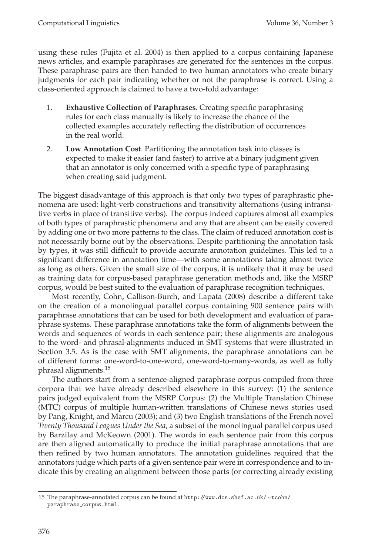using these rules (Fujita et al. 2004) is then applied to a corpus containing Japanese news articles, and example paraphrases are generated for the sentences in the corpus. These paraphrase pairs are then handed to two human annotators who create binary judgments for each pair indicating whether or not the paraphrase is correct. Using a class-oriented approach is claimed to have a two-fold advantage:

- 1. **Exhaustive Collection of Paraphrases**. Creating specific paraphrasing rules for each class manually is likely to increase the chance of the collected examples accurately reflecting the distribution of occurrences in the real world.
- 2. **Low Annotation Cost**. Partitioning the annotation task into classes is expected to make it easier (and faster) to arrive at a binary judgment given that an annotator is only concerned with a specific type of paraphrasing when creating said judgment.

The biggest disadvantage of this approach is that only two types of paraphrastic phenomena are used: light-verb constructions and transitivity alternations (using intransitive verbs in place of transitive verbs). The corpus indeed captures almost all examples of both types of paraphrastic phenomena and any that are absent can be easily covered by adding one or two more patterns to the class. The claim of reduced annotation cost is not necessarily borne out by the observations. Despite partitioning the annotation task by types, it was still difficult to provide accurate annotation guidelines. This led to a significant difference in annotation time—with some annotations taking almost twice as long as others. Given the small size of the corpus, it is unlikely that it may be used as training data for corpus-based paraphrase generation methods and, like the MSRP corpus, would be best suited to the evaluation of paraphrase recognition techniques.

Most recently, Cohn, Callison-Burch, and Lapata (2008) describe a different take on the creation of a monolingual parallel corpus containing 900 sentence pairs with paraphrase annotations that can be used for both development and evaluation of paraphrase systems. These paraphrase annotations take the form of alignments between the words and sequences of words in each sentence pair; these alignments are analogous to the word- and phrasal-alignments induced in SMT systems that were illustrated in Section 3.5. As is the case with SMT alignments, the paraphrase annotations can be of different forms: one-word-to-one-word, one-word-to-many-words, as well as fully phrasal alignments.<sup>15</sup>

The authors start from a sentence-aligned paraphrase corpus compiled from three corpora that we have already described elsewhere in this survey: (1) the sentence pairs judged equivalent from the MSRP Corpus: (2) the Multiple Translation Chinese (MTC) corpus of multiple human-written translations of Chinese news stories used by Pang, Knight, and Marcu (2003); and (3) two English translations of the French novel *Twenty Thousand Leagues Under the Sea*, a subset of the monolingual parallel corpus used by Barzilay and McKeown (2001). The words in each sentence pair from this corpus are then aligned automatically to produce the initial paraphrase annotations that are then refined by two human annotators. The annotation guidelines required that the annotators judge which parts of a given sentence pair were in correspondence and to indicate this by creating an alignment between those parts (or correcting already existing

<sup>15</sup> The paraphrase-annotated corpus can be found at http://www.dcs.shef.ac.uk/∼tcohn/ paraphrase corpus.html.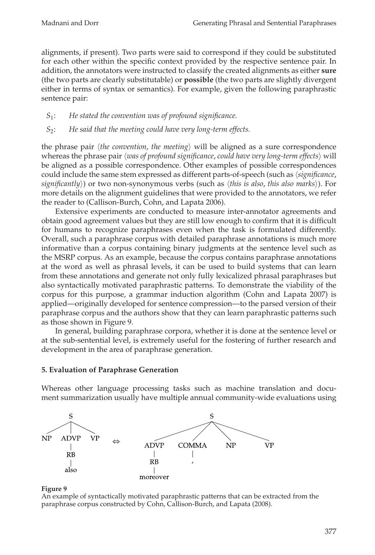alignments, if present). Two parts were said to correspond if they could be substituted for each other within the specific context provided by the respective sentence pair. In addition, the annotators were instructed to classify the created alignments as either **sure** (the two parts are clearly substitutable) or **possible** (the two parts are slightly divergent either in terms of syntax or semantics). For example, given the following paraphrastic sentence pair:

- *S*1: *He stated the convention was of profound significance.*
- *S*2: *He said that the meeting could have very long-term effects.*

the phrase pair *the convention*, *the meeting* will be aligned as a sure correspondence whereas the phrase pair *was of profound significance*, *could have very long-term effects* will be aligned as a possible correspondence. Other examples of possible correspondences could include the same stem expressed as different parts-of-speech (such as *significance*, *significantly*) or two non-synonymous verbs (such as *this is also*, *this also marks*). For more details on the alignment guidelines that were provided to the annotators, we refer the reader to (Callison-Burch, Cohn, and Lapata 2006).

Extensive experiments are conducted to measure inter-annotator agreements and obtain good agreement values but they are still low enough to confirm that it is difficult for humans to recognize paraphrases even when the task is formulated differently. Overall, such a paraphrase corpus with detailed paraphrase annotations is much more informative than a corpus containing binary judgments at the sentence level such as the MSRP corpus. As an example, because the corpus contains paraphrase annotations at the word as well as phrasal levels, it can be used to build systems that can learn from these annotations and generate not only fully lexicalized phrasal paraphrases but also syntactically motivated paraphrastic patterns. To demonstrate the viability of the corpus for this purpose, a grammar induction algorithm (Cohn and Lapata 2007) is applied—originally developed for sentence compression—to the parsed version of their paraphrase corpus and the authors show that they can learn paraphrastic patterns such as those shown in Figure 9.

In general, building paraphrase corpora, whether it is done at the sentence level or at the sub-sentential level, is extremely useful for the fostering of further research and development in the area of paraphrase generation.

# **5. Evaluation of Paraphrase Generation**

Whereas other language processing tasks such as machine translation and document summarization usually have multiple annual community-wide evaluations using



### **Figure 9**

An example of syntactically motivated paraphrastic patterns that can be extracted from the paraphrase corpus constructed by Cohn, Callison-Burch, and Lapata (2008).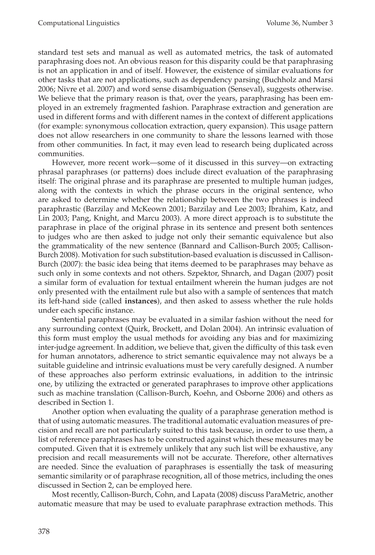standard test sets and manual as well as automated metrics, the task of automated paraphrasing does not. An obvious reason for this disparity could be that paraphrasing is not an application in and of itself. However, the existence of similar evaluations for other tasks that are not applications, such as dependency parsing (Buchholz and Marsi 2006; Nivre et al. 2007) and word sense disambiguation (Senseval), suggests otherwise. We believe that the primary reason is that, over the years, paraphrasing has been employed in an extremely fragmented fashion. Paraphrase extraction and generation are used in different forms and with different names in the context of different applications (for example: synonymous collocation extraction, query expansion). This usage pattern does not allow researchers in one community to share the lessons learned with those from other communities. In fact, it may even lead to research being duplicated across communities.

However, more recent work—some of it discussed in this survey—on extracting phrasal paraphrases (or patterns) does include direct evaluation of the paraphrasing itself: The original phrase and its paraphrase are presented to multiple human judges, along with the contexts in which the phrase occurs in the original sentence, who are asked to determine whether the relationship between the two phrases is indeed paraphrastic (Barzilay and McKeown 2001; Barzilay and Lee 2003; Ibrahim, Katz, and Lin 2003; Pang, Knight, and Marcu 2003). A more direct approach is to substitute the paraphrase in place of the original phrase in its sentence and present both sentences to judges who are then asked to judge not only their semantic equivalence but also the grammaticality of the new sentence (Bannard and Callison-Burch 2005; Callison-Burch 2008). Motivation for such substitution-based evaluation is discussed in Callison-Burch (2007): the basic idea being that items deemed to be paraphrases may behave as such only in some contexts and not others. Szpektor, Shnarch, and Dagan (2007) posit a similar form of evaluation for textual entailment wherein the human judges are not only presented with the entailment rule but also with a sample of sentences that match its left-hand side (called **instances**), and then asked to assess whether the rule holds under each specific instance.

Sentential paraphrases may be evaluated in a similar fashion without the need for any surrounding context (Quirk, Brockett, and Dolan 2004). An intrinsic evaluation of this form must employ the usual methods for avoiding any bias and for maximizing inter-judge agreement. In addition, we believe that, given the difficulty of this task even for human annotators, adherence to strict semantic equivalence may not always be a suitable guideline and intrinsic evaluations must be very carefully designed. A number of these approaches also perform extrinsic evaluations, in addition to the intrinsic one, by utilizing the extracted or generated paraphrases to improve other applications such as machine translation (Callison-Burch, Koehn, and Osborne 2006) and others as described in Section 1.

Another option when evaluating the quality of a paraphrase generation method is that of using automatic measures. The traditional automatic evaluation measures of precision and recall are not particularly suited to this task because, in order to use them, a list of reference paraphrases has to be constructed against which these measures may be computed. Given that it is extremely unlikely that any such list will be exhaustive, any precision and recall measurements will not be accurate. Therefore, other alternatives are needed. Since the evaluation of paraphrases is essentially the task of measuring semantic similarity or of paraphrase recognition, all of those metrics, including the ones discussed in Section 2, can be employed here.

Most recently, Callison-Burch, Cohn, and Lapata (2008) discuss ParaMetric, another automatic measure that may be used to evaluate paraphrase extraction methods. This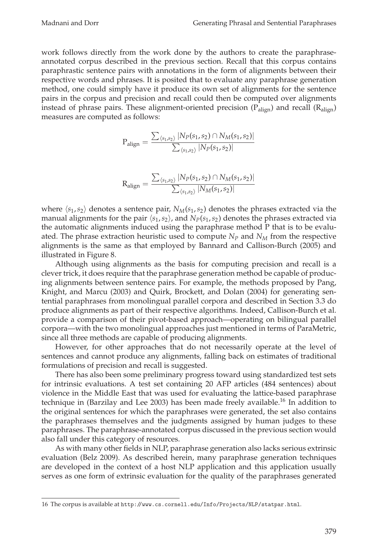work follows directly from the work done by the authors to create the paraphraseannotated corpus described in the previous section. Recall that this corpus contains paraphrastic sentence pairs with annotations in the form of alignments between their respective words and phrases. It is posited that to evaluate any paraphrase generation method, one could simply have it produce its own set of alignments for the sentence pairs in the corpus and precision and recall could then be computed over alignments instead of phrase pairs. These alignment-oriented precision  $(P_{\text{align}})$  and recall  $(R_{\text{align}})$ measures are computed as follows:

$$
P_{\text{align}} = \frac{\sum_{\langle s_1, s_2 \rangle} |N_P(s_1, s_2) \cap N_M(s_1, s_2)|}{\sum_{\langle s_1, s_2 \rangle} |N_P(s_1, s_2)|}
$$

$$
\text{R}_{\text{align}} = \frac{\sum_{\langle s_1, s_2 \rangle} |N_P(s_1, s_2) \cap N_M(s_1, s_2)|}{\sum_{\langle s_1, s_2 \rangle} |N_M(s_1, s_2)|}
$$

where  $\langle s_1, s_2 \rangle$  denotes a sentence pair,  $N_M(s_1, s_2)$  denotes the phrases extracted via the manual alignments for the pair  $\langle s_1, s_2 \rangle$ , and  $N_P(s_1, s_2)$  denotes the phrases extracted via the automatic alignments induced using the paraphrase method P that is to be evaluated. The phrase extraction heuristic used to compute  $N_p$  and  $N_M$  from the respective alignments is the same as that employed by Bannard and Callison-Burch (2005) and illustrated in Figure 8.

Although using alignments as the basis for computing precision and recall is a clever trick, it does require that the paraphrase generation method be capable of producing alignments between sentence pairs. For example, the methods proposed by Pang, Knight, and Marcu (2003) and Quirk, Brockett, and Dolan (2004) for generating sentential paraphrases from monolingual parallel corpora and described in Section 3.3 do produce alignments as part of their respective algorithms. Indeed, Callison-Burch et al. provide a comparison of their pivot-based approach—operating on bilingual parallel corpora—with the two monolingual approaches just mentioned in terms of ParaMetric, since all three methods are capable of producing alignments.

However, for other approaches that do not necessarily operate at the level of sentences and cannot produce any alignments, falling back on estimates of traditional formulations of precision and recall is suggested.

There has also been some preliminary progress toward using standardized test sets for intrinsic evaluations. A test set containing 20 AFP articles (484 sentences) about violence in the Middle East that was used for evaluating the lattice-based paraphrase technique in (Barzilay and Lee 2003) has been made freely available.<sup>16</sup> In addition to the original sentences for which the paraphrases were generated, the set also contains the paraphrases themselves and the judgments assigned by human judges to these paraphrases. The paraphrase-annotated corpus discussed in the previous section would also fall under this category of resources.

As with many other fields in NLP, paraphrase generation also lacks serious extrinsic evaluation (Belz 2009). As described herein, many paraphrase generation techniques are developed in the context of a host NLP application and this application usually serves as one form of extrinsic evaluation for the quality of the paraphrases generated

<sup>16</sup> The corpus is available at http://www.cs.cornell.edu/Info/Projects/NLP/statpar.html.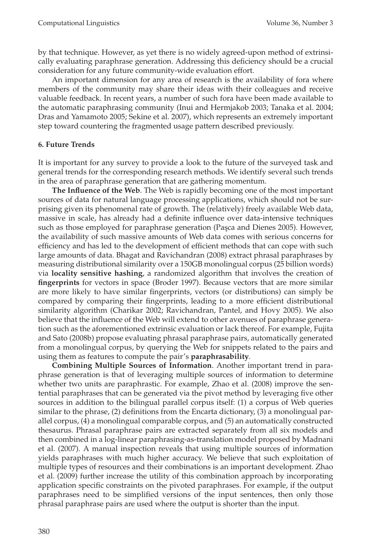by that technique. However, as yet there is no widely agreed-upon method of extrinsically evaluating paraphrase generation. Addressing this deficiency should be a crucial consideration for any future community-wide evaluation effort.

An important dimension for any area of research is the availability of fora where members of the community may share their ideas with their colleagues and receive valuable feedback. In recent years, a number of such fora have been made available to the automatic paraphrasing community (Inui and Hermjakob 2003; Tanaka et al. 2004; Dras and Yamamoto 2005; Sekine et al. 2007), which represents an extremely important step toward countering the fragmented usage pattern described previously.

### **6. Future Trends**

It is important for any survey to provide a look to the future of the surveyed task and general trends for the corresponding research methods. We identify several such trends in the area of paraphrase generation that are gathering momentum.

**The Influence of the Web**. The Web is rapidly becoming one of the most important sources of data for natural language processing applications, which should not be surprising given its phenomenal rate of growth. The (relatively) freely available Web data, massive in scale, has already had a definite influence over data-intensive techniques such as those employed for paraphrase generation (Paşça and Dienes 2005). However, the availability of such massive amounts of Web data comes with serious concerns for efficiency and has led to the development of efficient methods that can cope with such large amounts of data. Bhagat and Ravichandran (2008) extract phrasal paraphrases by measuring distributional similarity over a 150GB monolingual corpus (25 billion words) via **locality sensitive hashing**, a randomized algorithm that involves the creation of **fingerprints** for vectors in space (Broder 1997). Because vectors that are more similar are more likely to have similar fingerprints, vectors (or distributions) can simply be compared by comparing their fingerprints, leading to a more efficient distributional similarity algorithm (Charikar 2002; Ravichandran, Pantel, and Hovy 2005). We also believe that the influence of the Web will extend to other avenues of paraphrase generation such as the aforementioned extrinsic evaluation or lack thereof. For example, Fujita and Sato (2008b) propose evaluating phrasal paraphrase pairs, automatically generated from a monolingual corpus, by querying the Web for snippets related to the pairs and using them as features to compute the pair's **paraphrasability**.

**Combining Multiple Sources of Information**. Another important trend in paraphrase generation is that of leveraging multiple sources of information to determine whether two units are paraphrastic. For example, Zhao et al. (2008) improve the sentential paraphrases that can be generated via the pivot method by leveraging five other sources in addition to the bilingual parallel corpus itself: (1) a corpus of Web queries similar to the phrase, (2) definitions from the Encarta dictionary, (3) a monolingual parallel corpus, (4) a monolingual comparable corpus, and (5) an automatically constructed thesaurus. Phrasal paraphrase pairs are extracted separately from all six models and then combined in a log-linear paraphrasing-as-translation model proposed by Madnani et al. (2007). A manual inspection reveals that using multiple sources of information yields paraphrases with much higher accuracy. We believe that such exploitation of multiple types of resources and their combinations is an important development. Zhao et al. (2009) further increase the utility of this combination approach by incorporating application specific constraints on the pivoted paraphrases. For example, if the output paraphrases need to be simplified versions of the input sentences, then only those phrasal paraphrase pairs are used where the output is shorter than the input.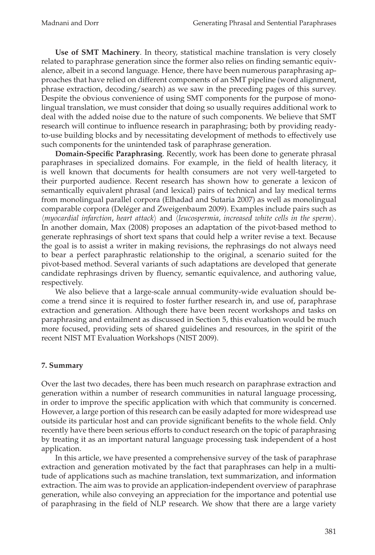**Use of SMT Machinery**. In theory, statistical machine translation is very closely related to paraphrase generation since the former also relies on finding semantic equivalence, albeit in a second language. Hence, there have been numerous paraphrasing approaches that have relied on different components of an SMT pipeline (word alignment, phrase extraction, decoding/search) as we saw in the preceding pages of this survey. Despite the obvious convenience of using SMT components for the purpose of monolingual translation, we must consider that doing so usually requires additional work to deal with the added noise due to the nature of such components. We believe that SMT research will continue to influence research in paraphrasing; both by providing readyto-use building blocks and by necessitating development of methods to effectively use such components for the unintended task of paraphrase generation.

**Domain-Specific Paraphrasing**. Recently, work has been done to generate phrasal paraphrases in specialized domains. For example, in the field of health literacy, it is well known that documents for health consumers are not very well-targeted to their purported audience. Recent research has shown how to generate a lexicon of semantically equivalent phrasal (and lexical) pairs of technical and lay medical terms from monolingual parallel corpora (Elhadad and Sutaria 2007) as well as monolingual comparable corpora (Deléger and Zweigenbaum 2009). Examples include pairs such as *myocardial infarction*, *heart attack* and *leucospermia*, *increased white cells in the sperm*. In another domain, Max (2008) proposes an adaptation of the pivot-based method to generate rephrasings of short text spans that could help a writer revise a text. Because the goal is to assist a writer in making revisions, the rephrasings do not always need to bear a perfect paraphrastic relationship to the original, a scenario suited for the pivot-based method. Several variants of such adaptations are developed that generate candidate rephrasings driven by fluency, semantic equivalence, and authoring value, respectively.

We also believe that a large-scale annual community-wide evaluation should become a trend since it is required to foster further research in, and use of, paraphrase extraction and generation. Although there have been recent workshops and tasks on paraphrasing and entailment as discussed in Section 5, this evaluation would be much more focused, providing sets of shared guidelines and resources, in the spirit of the recent NIST MT Evaluation Workshops (NIST 2009).

# **7. Summary**

Over the last two decades, there has been much research on paraphrase extraction and generation within a number of research communities in natural language processing, in order to improve the specific application with which that community is concerned. However, a large portion of this research can be easily adapted for more widespread use outside its particular host and can provide significant benefits to the whole field. Only recently have there been serious efforts to conduct research on the topic of paraphrasing by treating it as an important natural language processing task independent of a host application.

In this article, we have presented a comprehensive survey of the task of paraphrase extraction and generation motivated by the fact that paraphrases can help in a multitude of applications such as machine translation, text summarization, and information extraction. The aim was to provide an application-independent overview of paraphrase generation, while also conveying an appreciation for the importance and potential use of paraphrasing in the field of NLP research. We show that there are a large variety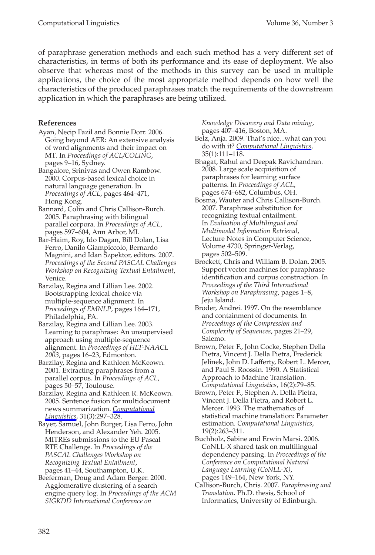Computational Linguistics Volume 36, Number 3

of paraphrase generation methods and each such method has a very different set of characteristics, in terms of both its performance and its ease of deployment. We also observe that whereas most of the methods in this survey can be used in multiple applications, the choice of the most appropriate method depends on how well the characteristics of the produced paraphrases match the requirements of the downstream application in which the paraphrases are being utilized.

#### **References**

- Ayan, Necip Fazil and Bonnie Dorr. 2006. Going beyond AER: An extensive analysis of word alignments and their impact on MT. In *Proceedings of ACL/COLING*, pages 9–16, Sydney.
- Bangalore, Srinivas and Owen Rambow. 2000. Corpus-based lexical choice in natural language generation. In *Proceedings of ACL*, pages 464–471, Hong Kong.
- Bannard, Colin and Chris Callison-Burch. 2005. Paraphrasing with bilingual parallel corpora. In *Proceedings of ACL*, pages 597–604, Ann Arbor, MI.
- Bar-Haim, Roy, Ido Dagan, Bill Dolan, Lisa Ferro, Danilo Giampiccolo, Bernardo Magnini, and Idan Szpektor, editors. 2007. *Proceedings of the Second PASCAL Challenges Workshop on Recognizing Textual Entailment*, Venice.
- Barzilay, Regina and Lillian Lee. 2002. Bootstrapping lexical choice via multiple-sequence alignment. In *Proceedings of EMNLP*, pages 164–171, Philadelphia, PA.
- Barzilay, Regina and Lillian Lee. 2003. Learning to paraphrase: An unsupervised approach using multiple-sequence alignment. In *Proceedings of HLT-NAACL 2003*, pages 16–23, Edmonton.
- Barzilay, Regina and Kathleen McKeown. 2001. Extracting paraphrases from a parallel corpus. In *Proceedings of ACL*, pages 50–57, Toulouse.
- Barzilay, Regina and Kathleen R. McKeown. 2005. Sentence fusion for multidocument news summarization. *Computational Linguistics*, 31(3):297–328.
- Bayer, Samuel, John Burger, Lisa Ferro, John Henderson, and Alexander Yeh. 2005. MITREs submissions to the EU Pascal RTE Challenge. In *Proceedings of the PASCAL Challenges Workshop on Recognizing Textual Entailment*, pages 41–44, Southampton, U.K.
- Beeferman, Doug and Adam Berger. 2000. Agglomerative clustering of a search engine query log. In *Proceedings of the ACM SIGKDD International Conference on*

*Knowledge Discovery and Data mining*, pages 407–416, Boston, MA.

- Belz, Anja. 2009. That's nice...what can you do with it? *Computational Linguistics*, 35(1):111–118.
- Bhagat, Rahul and Deepak Ravichandran. 2008. Large scale acquisition of paraphrases for learning surface patterns. In *Proceedings of ACL*, pages 674–682, Columbus, OH.
- Bosma, Wauter and Chris Callison-Burch. 2007. Paraphrase substitution for recognizing textual entailment. In *Evaluation of Multilingual and Multimodal Information Retrieval*, Lecture Notes in Computer Science, Volume 4730, Springer-Verlag, pages 502–509.
- Brockett, Chris and William B. Dolan. 2005. Support vector machines for paraphrase identification and corpus construction. In *Proceedings of the Third International Workshop on Paraphrasing*, pages 1–8, Jeju Island.
- Broder, Andrei. 1997. On the resemblance and containment of documents. In *Proceedings of the Compression and Complexity of Sequences*, pages 21–29, Salemo.
- Brown, Peter F., John Cocke, Stephen Della Pietra, Vincent J. Della Pietra, Frederick Jelinek, John D. Lafferty, Robert L. Mercer, and Paul S. Roossin. 1990. A Statistical Approach to Machine Translation. *Computational Linguistics*, 16(2):79–85.
- Brown, Peter F., Stephen A. Della Pietra, Vincent J. Della Pietra, and Robert L. Mercer. 1993. The mathematics of statistical machine translation: Parameter estimation. *Computational Linguistics*, 19(2):263–311.
- Buchholz, Sabine and Erwin Marsi. 2006. CoNLL-X shared task on multilingual dependency parsing. In *Proceedings of the Conference on Computational Natural Language Learning (CoNLL-X)*, pages 149–164, New York, NY.
- Callison-Burch, Chris. 2007. *Paraphrasing and Translation*. Ph.D. thesis, School of Informatics, University of Edinburgh.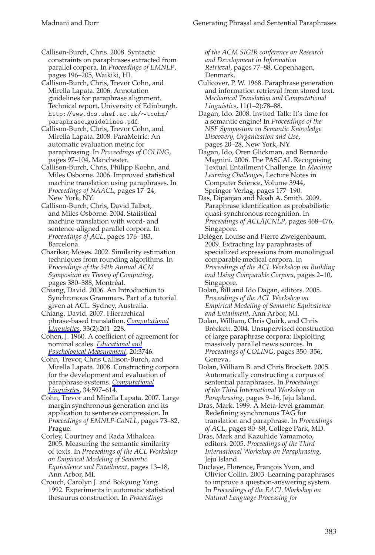#### Madnani and Dorr Generating Phrasal and Sentential Paraphrases

- Callison-Burch, Chris. 2008. Syntactic constraints on paraphrases extracted from parallel corpora. In *Proceedings of EMNLP*, pages 196–205, Waikiki, HI.
- Callison-Burch, Chris, Trevor Cohn, and Mirella Lapata. 2006. Annotation guidelines for paraphrase alignment. Technical report, University of Edinburgh. http://www.dcs.shef.ac.uk/∼tcohn/ paraphrase guidelines.pdf.
- Callison-Burch, Chris, Trevor Cohn, and Mirella Lapata. 2008. ParaMetric: An automatic evaluation metric for paraphrasing. In *Proceedings of COLING*, pages 97–104, Manchester.
- Callison-Burch, Chris, Philipp Koehn, and Miles Osborne. 2006. Improved statistical machine translation using paraphrases. In *Proceedings of NAACL*, pages 17–24, New York, NY.
- Callison-Burch, Chris, David Talbot, and Miles Osborne. 2004. Statistical machine translation with word- and sentence-aligned parallel corpora. In *Proceedings of ACL*, pages 176–183, Barcelona.
- Charikar, Moses. 2002. Similarity estimation techniques from rounding algorithms. In *Proceedings of the 34th Annual ACM Symposium on Theory of Computing*, pages 380-388, Montréal.
- Chiang, David. 2006. An Introduction to Synchronous Grammars. Part of a tutorial given at ACL. Sydney, Australia.
- Chiang, David. 2007. Hierarchical phrase-based translation. *Computational Linguistics*, 33(2):201–228.
- Cohen, J. 1960. A coefficient of agreement for nominal scales. *Educational and Psychological Measurement*, 20:3746.
- Cohn, Trevor, Chris Callison-Burch, and Mirella Lapata. 2008. Constructing corpora for the development and evaluation of paraphrase systems. *Computational Linguistics*, 34:597–614.
- Cohn, Trevor and Mirella Lapata. 2007. Large margin synchronous generation and its application to sentence compression. In *Proceedings of EMNLP-CoNLL*, pages 73–82, Prague.
- Corley, Courtney and Rada Mihalcea. 2005. Measuring the semantic similarity of texts. In *Proceedings of the ACL Workshop on Empirical Modeling of Semantic Equivalence and Entailment*, pages 13–18, Ann Arbor, MI.
- Crouch, Carolyn J. and Bokyung Yang. 1992. Experiments in automatic statistical thesaurus construction. In *Proceedings*
- *of the ACM SIGIR conference on Research and Development in Information Retrieval*, pages 77–88, Copenhagen, Denmark.
- Culicover, P. W. 1968. Paraphrase generation and information retrieval from stored text. *Mechanical Translation and Computational Linguistics*, 11(1–2):78–88.
- Dagan, Ido. 2008. Invited Talk: It's time for a semantic engine! In *Proceedings of the NSF Symposium on Semantic Knowledge Discovery, Organization and Use*, pages 20–28, New York, NY.
- Dagan, Ido, Oren Glickman, and Bernardo Magnini. 2006. The PASCAL Recognising Textual Entailment Challenge. In *Machine Learning Challenges*, Lecture Notes in Computer Science, Volume 3944, Springer-Verlag, pages 177–190.
- Das, Dipanjan and Noah A. Smith. 2009. Paraphrase identification as probabilistic quasi-synchronous recognition. In *Proceedings of ACL/IJCNLP*, pages 468–476, Singapore.
- Deléger, Louise and Pierre Zweigenbaum. 2009. Extracting lay paraphrases of specialized expressions from monolingual comparable medical corpora. In *Proceedings of the ACL Workshop on Building and Using Comparable Corpora*, pages 2–10, Singapore.
- Dolan, Bill and Ido Dagan, editors. 2005. *Proceedings of the ACL Workshop on Empirical Modeling of Semantic Equivalence and Entailment*, Ann Arbor, MI.
- Dolan, William, Chris Quirk, and Chris Brockett. 2004. Unsupervised construction of large paraphrase corpora: Exploiting massively parallel news sources. In *Proceedings of COLING*, pages 350–356, Geneva.
- Dolan, William B. and Chris Brockett. 2005. Automatically constructing a corpus of sentential paraphrases. In *Proceedings of the Third International Workshop on Paraphrasing*, pages 9–16, Jeju Island.
- Dras, Mark. 1999. A Meta-level grammar: Redefining synchronous TAG for translation and paraphrase. In *Proceedings of ACL*, pages 80–88, College Park, MD.
- Dras, Mark and Kazuhide Yamamoto, editors. 2005. *Proceedings of the Third International Workshop on Paraphrasing*, Jeju Island.
- Duclaye, Florence, François Yvon, and Olivier Collin. 2003. Learning paraphrases to improve a question-answering system. In *Proceedings of the EACL Workshop on Natural Language Processing for*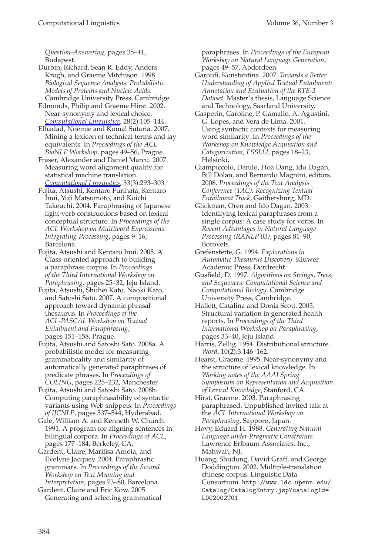#### Computational Linguistics Volume 36, Number 3

*Question-Answering*, pages 35–41, Budapest.

- Durbin, Richard, Sean R. Eddy, Anders Krogh, and Graeme Mitchison. 1998. *Biological Sequence Analysis: Probabilistic Models of Proteins and Nucleic Acids*. Cambridge University Press, Cambridge.
- Edmonds, Philip and Graeme Hirst. 2002. Near-synonymy and lexical choice.
- *Computational Linguistics*, 28(2):105–144. Elhadad, Noemie and Komal Sutaria. 2007. Mining a lexicon of technical terms and lay equivalents. In *Proceedings of the ACL BioNLP Workshop*, pages 49–56, Prague.
- Fraser, Alexander and Daniel Marcu. 2007. Measuring word alignment quality for statistical machine translation. *Computational Linguistics*, 33(3):293–303.
- Fujita, Atsushi, Kentaro Furihata, Kentaro Inui, Yuji Matsumoto, and Koichi Takeuchi. 2004. Paraphrasing of Japanese light-verb constructions based on lexical conceptual structure. In *Proceedings of the ACL Workshop on Multiword Expressions: Integrating Processing*, pages 9–16, Barcelona.
- Fujita, Atsushi and Kentaro Inui. 2005. A Class-oriented approach to building a paraphrase corpus. In *Proceedings of the Third International Workshop on Paraphrasing*, pages 25–32, Jeju Island.
- Fujita, Atsushi, Shuhei Kato, Naoki Kato, and Satoshi Sato. 2007. A compositional approach toward dynamic phrasal thesaurus. In *Proceedings of the ACL-PASCAL Workshop on Textual Entailment and Paraphrasing*, pages 151–158, Prague.

Fujita, Atsushi and Satoshi Sato. 2008a. A probabilistic model for measuring grammaticality and similarity of automatically generated paraphrases of predicate phrases. In *Proceedings of COLING*, pages 225–232, Manchester.

- Fujita, Atsushi and Satoshi Sato. 2008b. Computing paraphrasability of syntactic variants using Web snippets. In *Proceedings of IJCNLP*, pages 537–544, Hyderabad.
- Gale, William A. and Kenneth W. Church. 1991. A program for aligning sentences in bilingual corpora. In *Proceedings of ACL*, pages 177–184, Berkeley, CA.

Gardent, Claire, Marilisa Amoia, and Evelyne Jacquey. 2004. Paraphrastic grammars. In *Proceedings of the Second Workshop on Text Meaning and Interpretation*, pages 73–80, Barcelona.

Gardent, Claire and Eric Kow. 2005. Generating and selecting grammatical

- paraphrases. In *Proceedings of the European Workshop on Natural Language Generation*, pages 49–57, Abderdeen.
- Garoufi, Konstantina. 2007. *Towards a Better Understanding of Applied Textual Entailment: Annotation and Evaluation of the RTE-2 Dataset*. Master's thesis, Language Science and Technology, Saarland University.
- Gasperin, Caroline, P. Gamallo, A. Agustini, G. Lopes, and Vera de Lima. 2001. Using syntactic contexts for measuring word similarity. In *Proceedings of the Workshop on Knowledge Acquisition and Categorization, ESSLLI*, pages 18–23, Helsinki.
- Giampiccolo, Danilo, Hoa Dang, Ido Dagan, Bill Dolan, and Bernardo Magnini, editors. 2008. *Proceedings of the Text Analysis Conference (TAC): Recognizing Textual Entailment Track*, Gaithersburg, MD.
- Glickman, Oren and Ido Dagan. 2003. Identifying lexical paraphrases from a single corpus: A case study for verbs. In *Recent Advantages in Natural Language Processing (RANLP'03)*, pages 81–90, Borovets.
- Grefenstette, G. 1994. *Explorations in Automatic Thesaurus Discovery*. Kluwer Academic Press, Dordrecht.
- Gusfield, D. 1997. *Algorithms on Strings, Trees, and Sequences: Computational Science and Computational Biology*. Cambridge University Press, Cambridge.
- Hallett, Catalina and Donia Scott. 2005. Structural variation in generated health reports. In *Proceedings of the Third International Workshop on Paraphrasing*, pages 33–40, Jeju Island.
- Harris, Zellig. 1954. Distributional structure. *Word*, 10(2):3.146–162.
- Hearst, Graeme. 1995. Near-synonymy and the structure of lexical knowledge. In *Working notes of the AAAI Spring Symposium on Representation and Acquisition of Lexical Knowledge*, Stanford, CA.
- Hirst, Graeme. 2003. Paraphrasing paraphrased. Unpublished invited talk at the *ACL International Workshop on Paraphrasing*, Sapporo, Japan.
- Hovy, Eduard H. 1988. *Generating Natural Language under Pragmatic Constraints*. Lawrence Erlbaum Associates, Inc., Mahwah, NJ.
- Huang, Shudong, David Graff, and George Doddington. 2002. Multiple-translation chinese corpus. Linguistic Data Consortium. http://www.ldc.upenn.edu/ Catalog/CatalogEntry.jsp?catalogId= LDC2002T01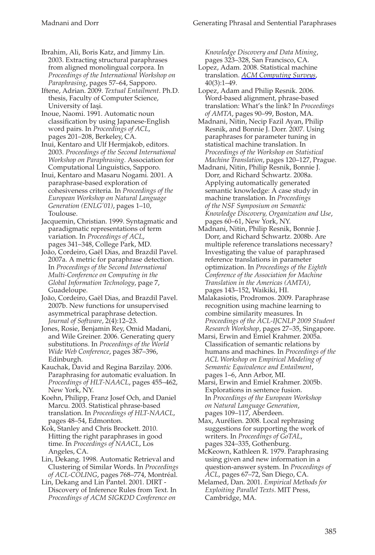- Ibrahim, Ali, Boris Katz, and Jimmy Lin. 2003. Extracting structural paraphrases from aligned monolingual corpora. In *Proceedings of the International Workshop on Paraphrasing*, pages 57–64, Sapporo.
- Iftene, Adrian. 2009. *Textual Entailment*. Ph.D. thesis, Faculty of Computer Science, University of Iasi.
- Inoue, Naomi. 1991. Automatic noun classification by using Japanese-English word pairs. In *Proceedings of ACL*, pages 201–208, Berkeley, CA.
- Inui, Kentaro and Ulf Hermjakob, editors. 2003. *Proceedings of the Second International Workshop on Paraphrasing*. Association for Computational Linguistics, Sapporo.
- Inui, Kentaro and Masaru Nogami. 2001. A paraphrase-based exploration of cohesiveness criteria. In *Proceedings of the European Workshop on Natural Language Generation (ENLG'01)*, pages 1–10, Toulouse.
- Jacquemin, Christian. 1999. Syntagmatic and paradigmatic representations of term variation. In *Proceedings of ACL*, pages 341–348, College Park, MD.
- João, Cordeiro, Gaël Dias, and Brazdil Pavel. 2007a. A metric for paraphrase detection. In *Proceedings of the Second International Multi-Conference on Computing in the Global Information Technology*, page 7, Guadeloupe.
- João, Cordeiro, Gaël Dias, and Brazdil Pavel. 2007b. New functions for unsupervised asymmetrical paraphrase detection. *Journal of Software*, 2(4):12–23.
- Jones, Rosie, Benjamin Rey, Omid Madani, and Wile Greiner. 2006. Generating query substitutions. In *Proceedings of the World Wide Web Conference*, pages 387–396, Edinburgh.
- Kauchak, David and Regina Barzilay. 2006. Paraphrasing for automatic evaluation. In *Proceedings of HLT-NAACL*, pages 455–462, New York, NY.
- Koehn, Philipp, Franz Josef Och, and Daniel Marcu. 2003. Statistical phrase-based translation. In *Proceedings of HLT-NAACL*, pages 48–54, Edmonton.
- Kok, Stanley and Chris Brockett. 2010. Hitting the right paraphrases in good time. In *Proceedings of NAACL*, Los Angeles, CA.
- Lin, Dekang. 1998. Automatic Retrieval and Clustering of Similar Words. In *Proceedings* of ACL-COLING, pages 768-774, Montréal.
- Lin, Dekang and Lin Pantel. 2001. DIRT Discovery of Inference Rules from Text. In *Proceedings of ACM SIGKDD Conference on*

*Knowledge Discovery and Data Mining*, pages 323–328, San Francisco, CA.

- Lopez, Adam. 2008. Statistical machine translation. *ACM Computing Surveys*, 40(3):1–49.
- Lopez, Adam and Philip Resnik. 2006. Word-based alignment, phrase-based translation: What's the link? In *Proceedings of AMTA*, pages 90–99, Boston, MA.
- Madnani, Nitin, Necip Fazil Ayan, Philip Resnik, and Bonnie J. Dorr. 2007. Using paraphrases for parameter tuning in statistical machine translation. In *Proceedings of the Workshop on Statistical Machine Translation*, pages 120–127, Prague.
- Madnani, Nitin, Philip Resnik, Bonnie J. Dorr, and Richard Schwartz. 2008a. Applying automatically generated semantic knowledge: A case study in machine translation. In *Proceedings of the NSF Symposium on Semantic Knowledge Discovery, Organization and Use*, pages 60–61, New York, NY.
- Madnani, Nitin, Philip Resnik, Bonnie J. Dorr, and Richard Schwartz. 2008b. Are multiple reference translations necessary? Investigating the value of paraphrased reference translations in parameter optimization. In *Proceedings of the Eighth Conference of the Association for Machine Translation in the Americas (AMTA)*, pages 143–152, Waikiki, HI.
- Malakasiotis, Prodromos. 2009. Paraphrase recognition using machine learning to combine similarity measures. In *Proceedings of the ACL-IJCNLP 2009 Student Research Workshop*, pages 27–35, Singapore.
- Marsi, Erwin and Emiel Krahmer. 2005a. Classification of semantic relations by humans and machines. In *Proceedings of the ACL Workshop on Empirical Modeling of Semantic Equivalence and Entailment*, pages 1–6, Ann Arbor, MI.
- Marsi, Erwin and Emiel Krahmer. 2005b. Explorations in sentence fusion. In *Proceedings of the European Workshop on Natural Language Generation*, pages 109–117, Aberdeen.
- Max, Aurélien. 2008. Local rephrasing suggestions for supporting the work of writers. In *Proceedings of GoTAL*, pages 324–335, Gothenburg.
- McKeown, Kathleen R. 1979. Paraphrasing using given and new information in a question-answer system. In *Proceedings of ACL*, pages 67–72, San Diego, CA.
- Melamed, Dan. 2001. *Empirical Methods for Exploiting Parallel Texts*. MIT Press, Cambridge, MA.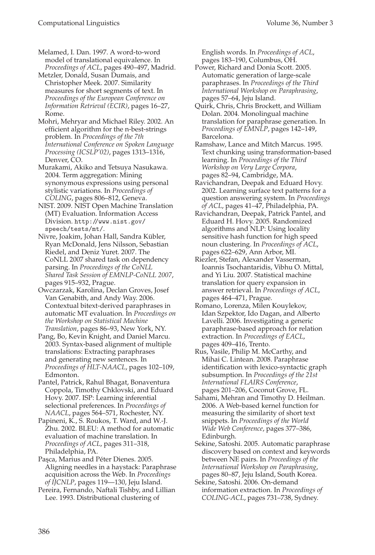Melamed, I. Dan. 1997. A word-to-word model of translational equivalence. In *Proceedings of ACL*, pages 490–497, Madrid.

Metzler, Donald, Susan Dumais, and Christopher Meek. 2007. Similarity measures for short segments of text. In *Proceedings of the European Conference on Information Retrieval (ECIR)*, pages 16–27, Rome.

Mohri, Mehryar and Michael Riley. 2002. An efficient algorithm for the n-best-strings problem. In *Proceedings of the 7th International Conference on Spoken Language Processing (ICSLP'02)*, pages 1313–1316, Denver, CO.

Murakami, Akiko and Tetsuya Nasukawa. 2004. Term aggregation: Mining synonymous expressions using personal stylistic variations. In *Proceedings of COLING*, pages 806–812, Geneva.

NIST. 2009. NIST Open Machine Translation (MT) Evaluation. Information Access Division. http://www.nist.gov/ speech/tests/mt/.

Nivre, Joakim, Johan Hall, Sandra Kübler, Ryan McDonald, Jens Nilsson, Sebastian Riedel, and Deniz Yuret. 2007. The CoNLL 2007 shared task on dependency parsing. In *Proceedings of the CoNLL Shared Task Session of EMNLP-CoNLL 2007*, pages 915–932, Prague.

Owczarzak, Karolina, Declan Groves, Josef Van Genabith, and Andy Way. 2006. Contextual bitext-derived paraphrases in automatic MT evaluation. In *Proceedings on the Workshop on Statistical Machine Translation*, pages 86–93, New York, NY.

Pang, Bo, Kevin Knight, and Daniel Marcu. 2003. Syntax-based alignment of multiple translations: Extracting paraphrases and generating new sentences. In *Proceedings of HLT-NAACL*, pages 102–109, Edmonton.

Pantel, Patrick, Rahul Bhagat, Bonaventura Coppola, Timothy Chklovski, and Eduard Hovy. 2007. ISP: Learning inferential selectional preferences. In *Proceedings of NAACL*, pages 564–571, Rochester, NY.

Papineni, K., S. Roukos, T. Ward, and W.-J. Zhu. 2002. BLEU: A method for automatic evaluation of machine translation. In *Proceedings of ACL*, pages 311–318, Philadelphia, PA.

Paşca, Marius and Péter Dienes. 2005. Aligning needles in a haystack: Paraphrase acquisition across the Web. In *Proceedings of IJCNLP*, pages 119—130, Jeju Island.

Pereira, Fernando, Naftali Tishby, and Lillian Lee. 1993. Distributional clustering of

English words. In *Proceedings of ACL*, pages 183–190, Columbus, OH.

Power, Richard and Donia Scott. 2005. Automatic generation of large-scale paraphrases. In *Proceedings of the Third International Workshop on Paraphrasing*, pages 57–64, Jeju Island.

Quirk, Chris, Chris Brockett, and William Dolan. 2004. Monolingual machine translation for paraphrase generation. In *Proceedings of EMNLP*, pages 142–149, Barcelona.

Ramshaw, Lance and Mitch Marcus. 1995. Text chunking using transformation-based learning. In *Proceedings of the Third Workshop on Very Large Corpora*, pages 82–94, Cambridge, MA.

Ravichandran, Deepak and Eduard Hovy. 2002. Learning surface text patterns for a question answering system. In *Proceedings of ACL*, pages 41–47, Philadelphia, PA.

Ravichandran, Deepak, Patrick Pantel, and Eduard H. Hovy. 2005. Randomized algorithms and NLP: Using locality sensitive hash function for high speed noun clustering. In *Proceedings of ACL*, pages 622–629, Ann Arbor, MI.

Riezler, Stefan, Alexander Vasserman, Ioannis Tsochantaridis, Vibhu O. Mittal, and Yi Liu. 2007. Statistical machine translation for query expansion in answer retrieval. In *Proceedings of ACL*, pages 464–471, Prague.

Romano, Lorenza, Milen Kouylekov, Idan Szpektor, Ido Dagan, and Alberto Lavelli. 2006. Investigating a generic paraphrase-based approach for relation extraction. In *Proceedings of EACL*, pages 409–416, Trento.

Rus, Vasile, Philip M. McCarthy, and Mihai C. Lintean. 2008. Paraphrase identification with lexico-syntactic graph subsumption. In *Proceedings of the 21st International FLAIRS Conference*, pages 201–206, Coconut Grove, FL.

Sahami, Mehran and Timothy D. Heilman. 2006. A Web-based kernel function for measuring the similarity of short text snippets. In *Proceedings of the World Wide Web Conference*, pages 377–386, Edinburgh.

Sekine, Satoshi. 2005. Automatic paraphrase discovery based on context and keywords between NE pairs. In *Proceedings of the International Workshop on Paraphrasing*, pages 80–87, Jeju Island, South Korea.

Sekine, Satoshi. 2006. On-demand information extraction. In *Proceedings of COLING-ACL*, pages 731–738, Sydney.